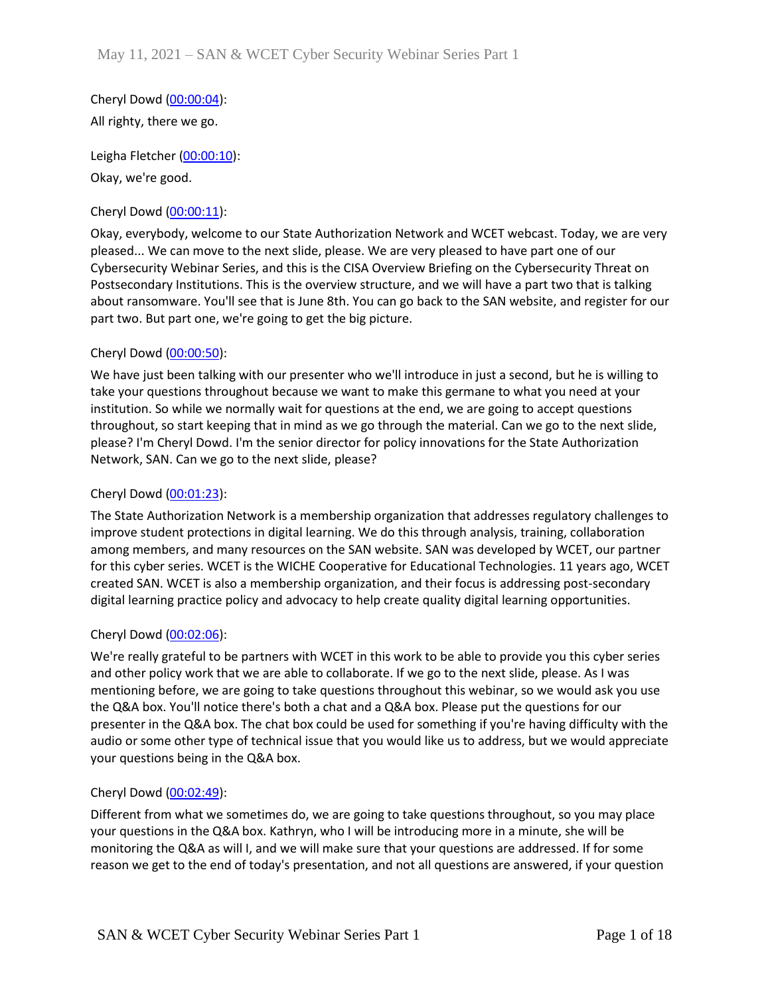Cheryl Dowd [\(00:00:04\)](https://www.rev.com/transcript-editor/Edit?token=_b0YjAOwhJZyuZcbFoisOjjtQIDEOniJmTYN5dM-AfrJz9NIvrRsa7eFyZjBOWx1LFB9XWelzA7pEELfh_0z-qt7yVI&loadFrom=DocumentDeeplink&ts=4.42): All righty, there we go.

Leigha Fletcher [\(00:00:10\)](https://www.rev.com/transcript-editor/Edit?token=xNGsDXclFLjSAwjkBUcVCPQAj5wxQ8QjsriT1vZm63xAxdPe1J2UnIYjN1_T3H7kcAZRCgxfRtVKP0Rwi_RqEYS0cMo&loadFrom=DocumentDeeplink&ts=10.07): Okay, we're good.

## Cheryl Dowd [\(00:00:11\)](https://www.rev.com/transcript-editor/Edit?token=09e0D2Pgn2ssYfNPYCvhB-pEqpRgt9_NoD55UuTe_MomL6NIwfbsUi7td9zsQ8ax2QcBs_dN8Kkuzz8HOOcJ3_nYZzE&loadFrom=DocumentDeeplink&ts=11.96):

Okay, everybody, welcome to our State Authorization Network and WCET webcast. Today, we are very pleased... We can move to the next slide, please. We are very pleased to have part one of our Cybersecurity Webinar Series, and this is the CISA Overview Briefing on the Cybersecurity Threat on Postsecondary Institutions. This is the overview structure, and we will have a part two that is talking about ransomware. You'll see that is June 8th. You can go back to the SAN website, and register for our part two. But part one, we're going to get the big picture.

## Cheryl Dowd [\(00:00:50\)](https://www.rev.com/transcript-editor/Edit?token=gEhRf-9J9T3Bp31NVORnwNMWGz47iJt8qTAVz3Wb4hnr7_o2sRAJa8wq6WY7wtYus4XznVYqfTyGvl3rBv479LIIyAM&loadFrom=DocumentDeeplink&ts=50.76):

We have just been talking with our presenter who we'll introduce in just a second, but he is willing to take your questions throughout because we want to make this germane to what you need at your institution. So while we normally wait for questions at the end, we are going to accept questions throughout, so start keeping that in mind as we go through the material. Can we go to the next slide, please? I'm Cheryl Dowd. I'm the senior director for policy innovations for the State Authorization Network, SAN. Can we go to the next slide, please?

## Cheryl Dowd [\(00:01:23\)](https://www.rev.com/transcript-editor/Edit?token=gaGYxgPzSOsHRLJfIpGMNFrSLu9fwgIwBEK-BWW1bLGXFCm05nuA6eQx235BPJKUK6z0fWYYqp5yCe4cfxnKaEBSTeU&loadFrom=DocumentDeeplink&ts=83.61):

The State Authorization Network is a membership organization that addresses regulatory challenges to improve student protections in digital learning. We do this through analysis, training, collaboration among members, and many resources on the SAN website. SAN was developed by WCET, our partner for this cyber series. WCET is the WICHE Cooperative for Educational Technologies. 11 years ago, WCET created SAN. WCET is also a membership organization, and their focus is addressing post-secondary digital learning practice policy and advocacy to help create quality digital learning opportunities.

## Cheryl Dowd [\(00:02:06\)](https://www.rev.com/transcript-editor/Edit?token=kwp-OLikrjDmtz0pW1iUMuuZ5UsHGgg7pLRbw0NY34YA0R4FCiOrNEv-arSKVZQxsDS_QlHfPcucRViCvByumF37bVc&loadFrom=DocumentDeeplink&ts=126.99):

We're really grateful to be partners with WCET in this work to be able to provide you this cyber series and other policy work that we are able to collaborate. If we go to the next slide, please. As I was mentioning before, we are going to take questions throughout this webinar, so we would ask you use the Q&A box. You'll notice there's both a chat and a Q&A box. Please put the questions for our presenter in the Q&A box. The chat box could be used for something if you're having difficulty with the audio or some other type of technical issue that you would like us to address, but we would appreciate your questions being in the Q&A box.

## Cheryl Dowd [\(00:02:49\)](https://www.rev.com/transcript-editor/Edit?token=rvpVzDLS_SMSF28yUvmMc8yjd2pMhp0NaNLZsy8NCDhM6zaBul44Fmu5JK0glW787eezzzwFoOE_QepIjSpFs8H4ayQ&loadFrom=DocumentDeeplink&ts=169.25):

Different from what we sometimes do, we are going to take questions throughout, so you may place your questions in the Q&A box. Kathryn, who I will be introducing more in a minute, she will be monitoring the Q&A as will I, and we will make sure that your questions are addressed. If for some reason we get to the end of today's presentation, and not all questions are answered, if your question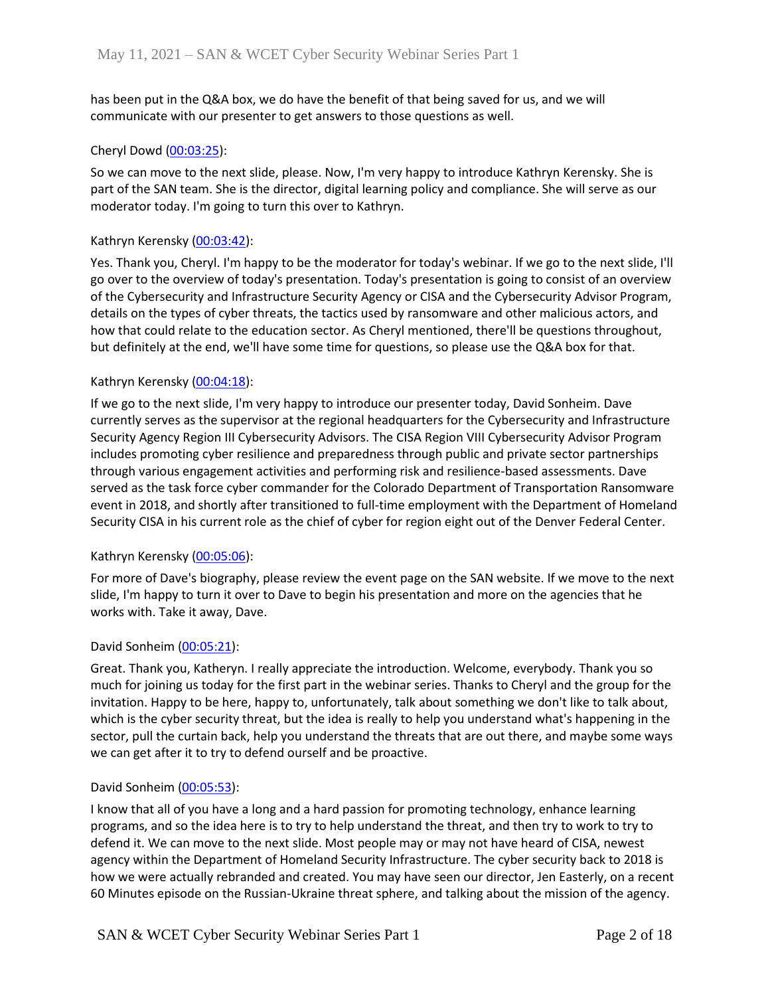has been put in the Q&A box, we do have the benefit of that being saved for us, and we will communicate with our presenter to get answers to those questions as well.

### Cheryl Dowd [\(00:03:25\)](https://www.rev.com/transcript-editor/Edit?token=SH152sa4zuIJV0K6BAs2qHbE2tosg1rt-naQ1npYZK9m-jlxkzaKNjqPTGFHwxjtc0D1-VjFFGBTpn5zQ9POxyfdXMw&loadFrom=DocumentDeeplink&ts=205.72):

So we can move to the next slide, please. Now, I'm very happy to introduce Kathryn Kerensky. She is part of the SAN team. She is the director, digital learning policy and compliance. She will serve as our moderator today. I'm going to turn this over to Kathryn.

### Kathryn Kerensky [\(00:03:42\)](https://www.rev.com/transcript-editor/Edit?token=Kg0MCstTcRZ74wB1u9hB5F1T2TaD27Wx1AlvW5DQITyhFHnuXrtv0T8CtZi5PVfrCPITB4ubCrGZz4UhVks41qQYHUo&loadFrom=DocumentDeeplink&ts=222.11):

Yes. Thank you, Cheryl. I'm happy to be the moderator for today's webinar. If we go to the next slide, I'll go over to the overview of today's presentation. Today's presentation is going to consist of an overview of the Cybersecurity and Infrastructure Security Agency or CISA and the Cybersecurity Advisor Program, details on the types of cyber threats, the tactics used by ransomware and other malicious actors, and how that could relate to the education sector. As Cheryl mentioned, there'll be questions throughout, but definitely at the end, we'll have some time for questions, so please use the Q&A box for that.

### Kathryn Kerensky [\(00:04:18\)](https://www.rev.com/transcript-editor/Edit?token=a07JwsLpWRRjZAX8ARXcSYpW5CfSdzv_-DRTjpYfe_ww3Cd6EDVHGIcn8EOPEvP4MUXH1-cTRp9gEeDBumow8Klpvwk&loadFrom=DocumentDeeplink&ts=258.37):

If we go to the next slide, I'm very happy to introduce our presenter today, David Sonheim. Dave currently serves as the supervisor at the regional headquarters for the Cybersecurity and Infrastructure Security Agency Region III Cybersecurity Advisors. The CISA Region VIII Cybersecurity Advisor Program includes promoting cyber resilience and preparedness through public and private sector partnerships through various engagement activities and performing risk and resilience-based assessments. Dave served as the task force cyber commander for the Colorado Department of Transportation Ransomware event in 2018, and shortly after transitioned to full-time employment with the Department of Homeland Security CISA in his current role as the chief of cyber for region eight out of the Denver Federal Center.

## Kathryn Kerensky [\(00:05:06\)](https://www.rev.com/transcript-editor/Edit?token=IpV6q4Z9m_D-vLWdriU9on9FLzxlGtY84DxW5uR-fNm8nQM0T7DaPTHYgFbtWV82pN4gU3CpFvK70hYZCrYQfZcIpOs&loadFrom=DocumentDeeplink&ts=306.55):

For more of Dave's biography, please review the event page on the SAN website. If we move to the next slide, I'm happy to turn it over to Dave to begin his presentation and more on the agencies that he works with. Take it away, Dave.

#### David Sonheim [\(00:05:21\)](https://www.rev.com/transcript-editor/Edit?token=51JKVAj3dyw870ZllSTMwAkxWHMK8CspAX-skQvIiz9fg8bptAVvgWvwGpp9Sf1d2wEIq-f6Eoa1YRE2lowPviCIwOs&loadFrom=DocumentDeeplink&ts=321.09):

Great. Thank you, Katheryn. I really appreciate the introduction. Welcome, everybody. Thank you so much for joining us today for the first part in the webinar series. Thanks to Cheryl and the group for the invitation. Happy to be here, happy to, unfortunately, talk about something we don't like to talk about, which is the cyber security threat, but the idea is really to help you understand what's happening in the sector, pull the curtain back, help you understand the threats that are out there, and maybe some ways we can get after it to try to defend ourself and be proactive.

#### David Sonheim [\(00:05:53\)](https://www.rev.com/transcript-editor/Edit?token=Z09zDlb6PR1HbGvZ3Op9mChFOjEvSLobmvxb7vEQglPk6j7Hb1L_tzTaQIpJnRTzvhD6gvATVv2Cl8Tht6vyEW7uqng&loadFrom=DocumentDeeplink&ts=353.52):

I know that all of you have a long and a hard passion for promoting technology, enhance learning programs, and so the idea here is to try to help understand the threat, and then try to work to try to defend it. We can move to the next slide. Most people may or may not have heard of CISA, newest agency within the Department of Homeland Security Infrastructure. The cyber security back to 2018 is how we were actually rebranded and created. You may have seen our director, Jen Easterly, on a recent 60 Minutes episode on the Russian-Ukraine threat sphere, and talking about the mission of the agency.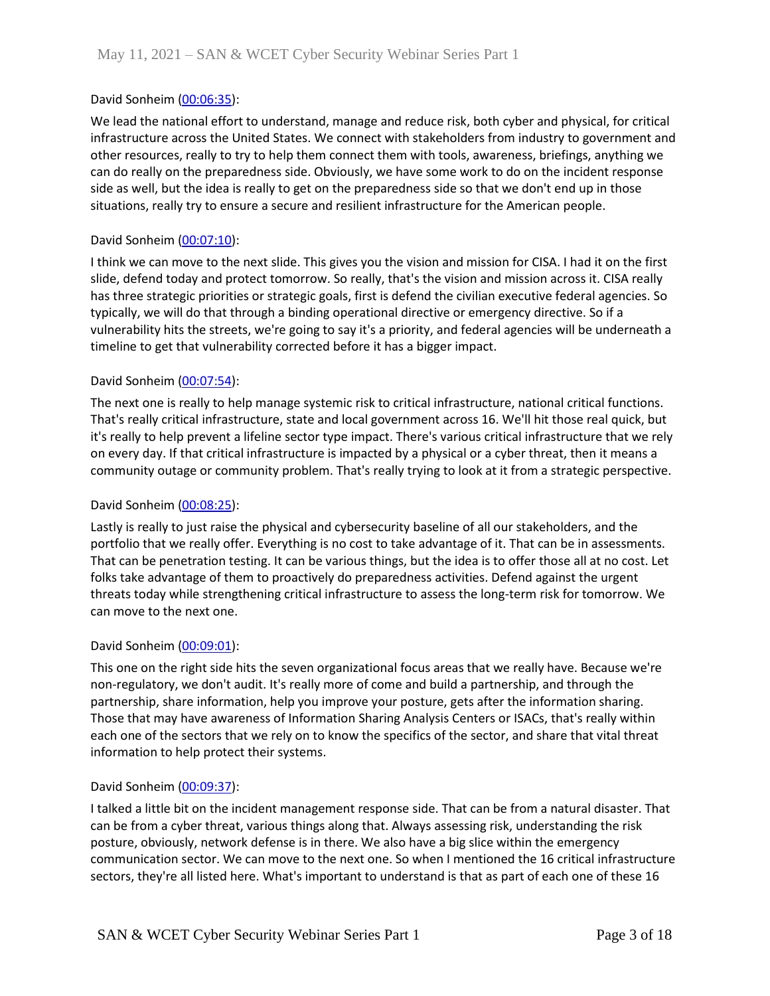## David Sonheim [\(00:06:35\)](https://www.rev.com/transcript-editor/Edit?token=aD2zVoRh6HpXd8TGkMes-fqgMT4bKnBs8nPDrmA5zEGpAY8h8RNfpYYt-4p7KDlnO_DbZ1LmPy5yl2nafOLrYEOvU4M&loadFrom=DocumentDeeplink&ts=395.43):

We lead the national effort to understand, manage and reduce risk, both cyber and physical, for critical infrastructure across the United States. We connect with stakeholders from industry to government and other resources, really to try to help them connect them with tools, awareness, briefings, anything we can do really on the preparedness side. Obviously, we have some work to do on the incident response side as well, but the idea is really to get on the preparedness side so that we don't end up in those situations, really try to ensure a secure and resilient infrastructure for the American people.

### David Sonheim [\(00:07:10\)](https://www.rev.com/transcript-editor/Edit?token=iVkpXVnGQ5rXcf9W8jOurBshP7WBBOVFbjJePvwAaJkfcHOJSyHC9DQLLfXUQeuvbBqITPhuEF183d0B5SzeSvMfbyk&loadFrom=DocumentDeeplink&ts=430.18):

I think we can move to the next slide. This gives you the vision and mission for CISA. I had it on the first slide, defend today and protect tomorrow. So really, that's the vision and mission across it. CISA really has three strategic priorities or strategic goals, first is defend the civilian executive federal agencies. So typically, we will do that through a binding operational directive or emergency directive. So if a vulnerability hits the streets, we're going to say it's a priority, and federal agencies will be underneath a timeline to get that vulnerability corrected before it has a bigger impact.

### David Sonheim [\(00:07:54\)](https://www.rev.com/transcript-editor/Edit?token=UOEKRbEi1F8Vkjq8yE057qK5SFrG96KZEFS94Pgad0LMEp__vVrai7mSi4WBkTfHiIYHJgX0jZGyDxX34YrKVmcSZVk&loadFrom=DocumentDeeplink&ts=474.72):

The next one is really to help manage systemic risk to critical infrastructure, national critical functions. That's really critical infrastructure, state and local government across 16. We'll hit those real quick, but it's really to help prevent a lifeline sector type impact. There's various critical infrastructure that we rely on every day. If that critical infrastructure is impacted by a physical or a cyber threat, then it means a community outage or community problem. That's really trying to look at it from a strategic perspective.

#### David Sonheim [\(00:08:25\)](https://www.rev.com/transcript-editor/Edit?token=PtGV2fjlZzzVAzd5efZApDQutK5PNSYd22oHIayVGb4VB7a0Y1JjbQ8_Mvg6N3YafAanny6X8W1_PpyV2zjHLickcv4&loadFrom=DocumentDeeplink&ts=505.73):

Lastly is really to just raise the physical and cybersecurity baseline of all our stakeholders, and the portfolio that we really offer. Everything is no cost to take advantage of it. That can be in assessments. That can be penetration testing. It can be various things, but the idea is to offer those all at no cost. Let folks take advantage of them to proactively do preparedness activities. Defend against the urgent threats today while strengthening critical infrastructure to assess the long-term risk for tomorrow. We can move to the next one.

#### David Sonheim [\(00:09:01\)](https://www.rev.com/transcript-editor/Edit?token=2fz8X_DbNAsb9_H54S3fDythWsMCtw1Ufz3qqH8WpWRj9nHXyf7ECz4o-vkzWu16Nrv90qGtzujU8v_DkRpsHrWdSOM&loadFrom=DocumentDeeplink&ts=541.59):

This one on the right side hits the seven organizational focus areas that we really have. Because we're non-regulatory, we don't audit. It's really more of come and build a partnership, and through the partnership, share information, help you improve your posture, gets after the information sharing. Those that may have awareness of Information Sharing Analysis Centers or ISACs, that's really within each one of the sectors that we rely on to know the specifics of the sector, and share that vital threat information to help protect their systems.

#### David Sonheim [\(00:09:37\)](https://www.rev.com/transcript-editor/Edit?token=x8WOqAU-Om6kpLFND7AluF_dJh5VHGmun6Y3OLCvVD-lY8C8m9buIJvfv2EB0XaH5G9i9UKB6J6YORUBv7R9R5IE-ZY&loadFrom=DocumentDeeplink&ts=577.07):

I talked a little bit on the incident management response side. That can be from a natural disaster. That can be from a cyber threat, various things along that. Always assessing risk, understanding the risk posture, obviously, network defense is in there. We also have a big slice within the emergency communication sector. We can move to the next one. So when I mentioned the 16 critical infrastructure sectors, they're all listed here. What's important to understand is that as part of each one of these 16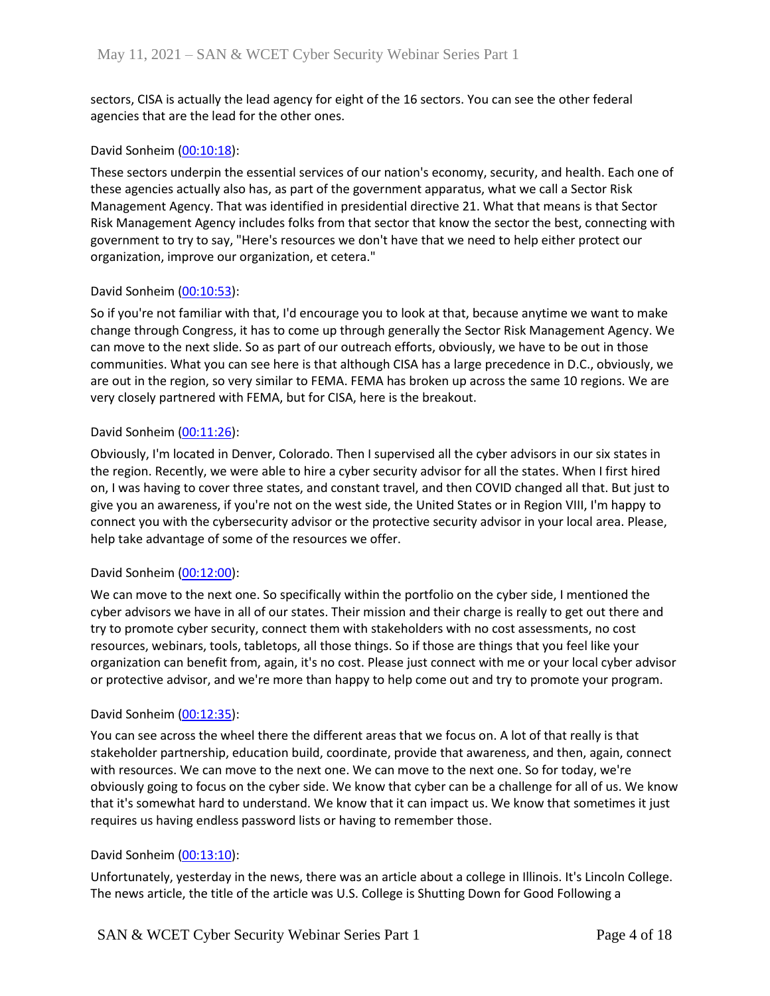sectors, CISA is actually the lead agency for eight of the 16 sectors. You can see the other federal agencies that are the lead for the other ones.

### David Sonheim [\(00:10:18\)](https://www.rev.com/transcript-editor/Edit?token=trZDEt6EZV83TjvaO4UJK_sptiD1SaF2sTn289zEDbKPUPmbgAAgrYmMJn9g3Jhs7kaQhEh6tsLqFahug-fLiuqGW0Q&loadFrom=DocumentDeeplink&ts=618.46):

These sectors underpin the essential services of our nation's economy, security, and health. Each one of these agencies actually also has, as part of the government apparatus, what we call a Sector Risk Management Agency. That was identified in presidential directive 21. What that means is that Sector Risk Management Agency includes folks from that sector that know the sector the best, connecting with government to try to say, "Here's resources we don't have that we need to help either protect our organization, improve our organization, et cetera."

### David Sonheim [\(00:10:53\)](https://www.rev.com/transcript-editor/Edit?token=gItOY1pnfGMBYNZh7Dj29TImtIqGIdbcsI8LxpSVF9MD7_TmFvGnG_zLMvnXGua7iQFWuy9WJkyTn23qjRcpLZC2Ris&loadFrom=DocumentDeeplink&ts=653.48):

So if you're not familiar with that, I'd encourage you to look at that, because anytime we want to make change through Congress, it has to come up through generally the Sector Risk Management Agency. We can move to the next slide. So as part of our outreach efforts, obviously, we have to be out in those communities. What you can see here is that although CISA has a large precedence in D.C., obviously, we are out in the region, so very similar to FEMA. FEMA has broken up across the same 10 regions. We are very closely partnered with FEMA, but for CISA, here is the breakout.

### David Sonheim [\(00:11:26\)](https://www.rev.com/transcript-editor/Edit?token=uTj_C7urgEj70JzcEmRWMaZ2aihwXKqvYB0qiAPJRL_IE4hm20I7-tJ2pQ-shfS9rt3MRATJvH2LTOhp63jTdbkBYQQ&loadFrom=DocumentDeeplink&ts=686.93):

Obviously, I'm located in Denver, Colorado. Then I supervised all the cyber advisors in our six states in the region. Recently, we were able to hire a cyber security advisor for all the states. When I first hired on, I was having to cover three states, and constant travel, and then COVID changed all that. But just to give you an awareness, if you're not on the west side, the United States or in Region VIII, I'm happy to connect you with the cybersecurity advisor or the protective security advisor in your local area. Please, help take advantage of some of the resources we offer.

## David Sonheim [\(00:12:00\)](https://www.rev.com/transcript-editor/Edit?token=xG-gl2i6uohNgwwJNTh2uWMUGI3cQVMoXSFJ9WUcbvxa6Jxu2_PRqZlJGkn-H5pKL2hAfECyaNypl9suGGgM2dT2xzY&loadFrom=DocumentDeeplink&ts=720.41):

We can move to the next one. So specifically within the portfolio on the cyber side, I mentioned the cyber advisors we have in all of our states. Their mission and their charge is really to get out there and try to promote cyber security, connect them with stakeholders with no cost assessments, no cost resources, webinars, tools, tabletops, all those things. So if those are things that you feel like your organization can benefit from, again, it's no cost. Please just connect with me or your local cyber advisor or protective advisor, and we're more than happy to help come out and try to promote your program.

#### David Sonheim [\(00:12:35\)](https://www.rev.com/transcript-editor/Edit?token=cAKkqPQkJGXEzQgHaVY7pHUC5xq147wuR-EsDIFFBYJEaAKUz-Xo9eYJA6pHD0kG6SlBy4ko-MT9nqGsJOedQAbl5jI&loadFrom=DocumentDeeplink&ts=755.43):

You can see across the wheel there the different areas that we focus on. A lot of that really is that stakeholder partnership, education build, coordinate, provide that awareness, and then, again, connect with resources. We can move to the next one. We can move to the next one. So for today, we're obviously going to focus on the cyber side. We know that cyber can be a challenge for all of us. We know that it's somewhat hard to understand. We know that it can impact us. We know that sometimes it just requires us having endless password lists or having to remember those.

## David Sonheim [\(00:13:10\)](https://www.rev.com/transcript-editor/Edit?token=gIFCxpF_ftUiPnspKoli1zNJ9--uPcDg3A0E6OadFDiNTt7JrlDsWp_zWK-sLgE046pp9BKUvCSsJ0bpGZI4GvQYpi4&loadFrom=DocumentDeeplink&ts=790.45):

Unfortunately, yesterday in the news, there was an article about a college in Illinois. It's Lincoln College. The news article, the title of the article was U.S. College is Shutting Down for Good Following a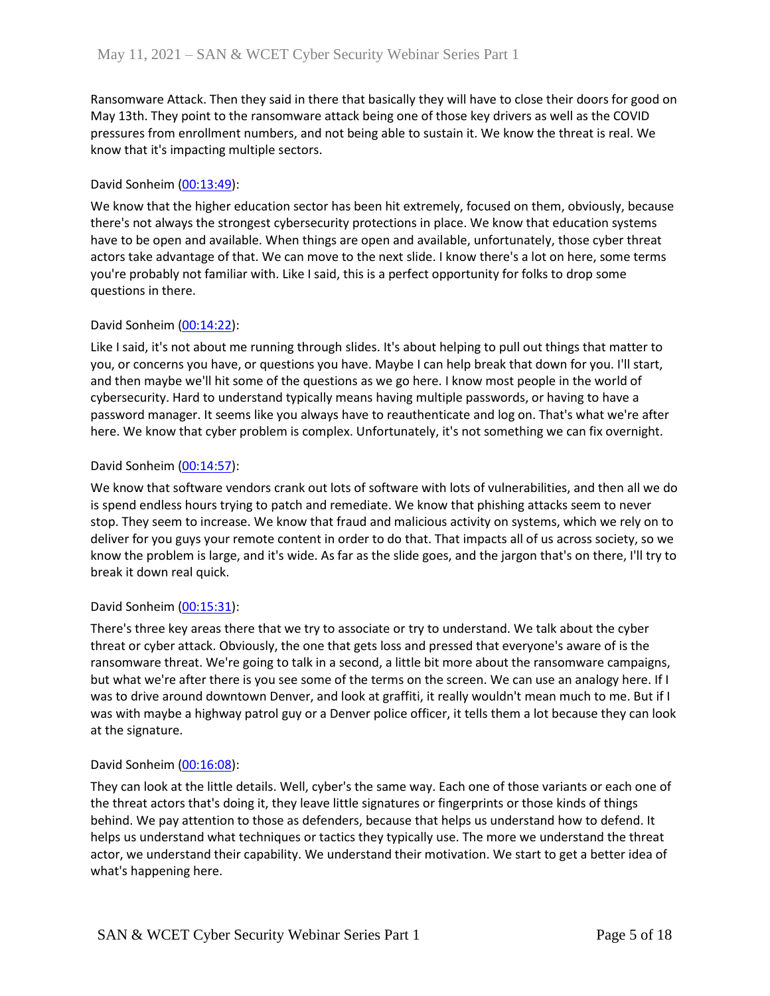Ransomware Attack. Then they said in there that basically they will have to close their doors for good on May 13th. They point to the ransomware attack being one of those key drivers as well as the COVID pressures from enrollment numbers, and not being able to sustain it. We know the threat is real. We know that it's impacting multiple sectors.

## David Sonheim [\(00:13:49\)](https://www.rev.com/transcript-editor/Edit?token=OnveHu7lCYrpgnDShJPZkA0DBDLJfj0OAaJdiGf4mu9PB6FlDkBLORh17PC66rR0xVw50DyCxVW4sa9pt9oUeJv3Ep0&loadFrom=DocumentDeeplink&ts=829.52):

We know that the higher education sector has been hit extremely, focused on them, obviously, because there's not always the strongest cybersecurity protections in place. We know that education systems have to be open and available. When things are open and available, unfortunately, those cyber threat actors take advantage of that. We can move to the next slide. I know there's a lot on here, some terms you're probably not familiar with. Like I said, this is a perfect opportunity for folks to drop some questions in there.

# David Sonheim [\(00:14:22\)](https://www.rev.com/transcript-editor/Edit?token=NZYymXcRKpXTA3xMCCygpoe8WYn3J4VuoqejAznW42VTLMgwP-wSEepZU5x76MjEhxpBUYtIh7CvVN2vSPWSmhGH0ZE&loadFrom=DocumentDeeplink&ts=862.33):

Like I said, it's not about me running through slides. It's about helping to pull out things that matter to you, or concerns you have, or questions you have. Maybe I can help break that down for you. I'll start, and then maybe we'll hit some of the questions as we go here. I know most people in the world of cybersecurity. Hard to understand typically means having multiple passwords, or having to have a password manager. It seems like you always have to reauthenticate and log on. That's what we're after here. We know that cyber problem is complex. Unfortunately, it's not something we can fix overnight.

## David Sonheim [\(00:14:57\)](https://www.rev.com/transcript-editor/Edit?token=tHzloeyLVozioJN5pvFjKrG18e3mjKv2evwStYT5_QlFkIRYTdLFjLSzCjwt3tr6bc0nnqMHMVQAq-eXvdfnCmKvDAk&loadFrom=DocumentDeeplink&ts=897.68):

We know that software vendors crank out lots of software with lots of vulnerabilities, and then all we do is spend endless hours trying to patch and remediate. We know that phishing attacks seem to never stop. They seem to increase. We know that fraud and malicious activity on systems, which we rely on to deliver for you guys your remote content in order to do that. That impacts all of us across society, so we know the problem is large, and it's wide. As far as the slide goes, and the jargon that's on there, I'll try to break it down real quick.

## David Sonheim [\(00:15:31\)](https://www.rev.com/transcript-editor/Edit?token=--ZJE8zQn3_uVX0mfzj-8CB9tYyHnwjV7-3j0Rp_cPecC2gcWgjFyB6KrJ0hvDSsxocYMEo9Ovq9OLJGqQ2AlLXLrik&loadFrom=DocumentDeeplink&ts=931.94):

There's three key areas there that we try to associate or try to understand. We talk about the cyber threat or cyber attack. Obviously, the one that gets loss and pressed that everyone's aware of is the ransomware threat. We're going to talk in a second, a little bit more about the ransomware campaigns, but what we're after there is you see some of the terms on the screen. We can use an analogy here. If I was to drive around downtown Denver, and look at graffiti, it really wouldn't mean much to me. But if I was with maybe a highway patrol guy or a Denver police officer, it tells them a lot because they can look at the signature.

## David Sonheim [\(00:16:08\)](https://www.rev.com/transcript-editor/Edit?token=TYKF1FjURpj4MYDeRCVqbi19l8HJQIjO9dd8VYXJvKBHSoNT8ebX2DN2NvRCw-QGsdaco5KO8-MXcq0jKvUwdNlJ8Ck&loadFrom=DocumentDeeplink&ts=968.39):

They can look at the little details. Well, cyber's the same way. Each one of those variants or each one of the threat actors that's doing it, they leave little signatures or fingerprints or those kinds of things behind. We pay attention to those as defenders, because that helps us understand how to defend. It helps us understand what techniques or tactics they typically use. The more we understand the threat actor, we understand their capability. We understand their motivation. We start to get a better idea of what's happening here.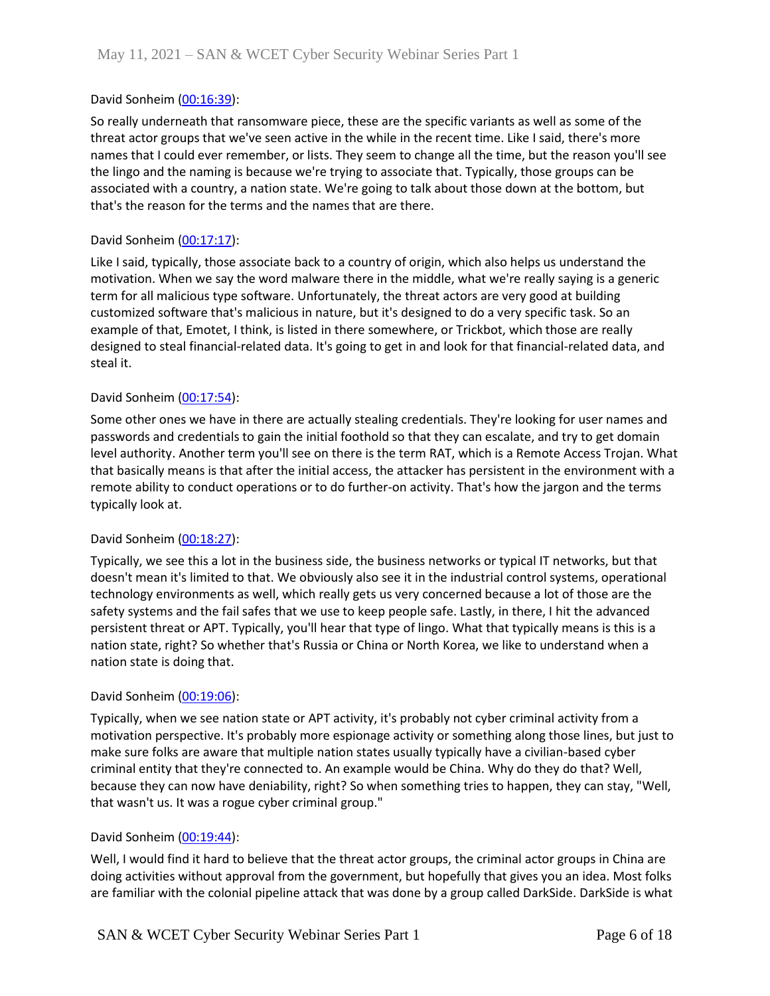### David Sonheim [\(00:16:39\)](https://www.rev.com/transcript-editor/Edit?token=05VLTvdr9nIoW9dhxr-kCQbNkRNGcC2dZykZ_FMDoAzWaaSTawJFuYhPQWiG6tCr_0Zo6UIsNelY7zfAjCw0kZp4wJs&loadFrom=DocumentDeeplink&ts=999.64):

So really underneath that ransomware piece, these are the specific variants as well as some of the threat actor groups that we've seen active in the while in the recent time. Like I said, there's more names that I could ever remember, or lists. They seem to change all the time, but the reason you'll see the lingo and the naming is because we're trying to associate that. Typically, those groups can be associated with a country, a nation state. We're going to talk about those down at the bottom, but that's the reason for the terms and the names that are there.

### David Sonheim [\(00:17:17\)](https://www.rev.com/transcript-editor/Edit?token=AKmtUUDmauUoHK0QM3LUlwNZ_RWoNlfCFSnEX-_NF6znKuFp8mhVnx4s4GW2ScOSJ_Cmj28FKGoEGucOihX2itS8udI&loadFrom=DocumentDeeplink&ts=1037.69):

Like I said, typically, those associate back to a country of origin, which also helps us understand the motivation. When we say the word malware there in the middle, what we're really saying is a generic term for all malicious type software. Unfortunately, the threat actors are very good at building customized software that's malicious in nature, but it's designed to do a very specific task. So an example of that, Emotet, I think, is listed in there somewhere, or Trickbot, which those are really designed to steal financial-related data. It's going to get in and look for that financial-related data, and steal it.

### David Sonheim [\(00:17:54\)](https://www.rev.com/transcript-editor/Edit?token=jk2gcQUp135thqhhFJz2tZzdpMpG01Ej1-NPLfoWBDK8NDdgG9_U4kgFD5ldkze0ceI28cdU-Mnv6fRs0yevLliEnD0&loadFrom=DocumentDeeplink&ts=1074.16):

Some other ones we have in there are actually stealing credentials. They're looking for user names and passwords and credentials to gain the initial foothold so that they can escalate, and try to get domain level authority. Another term you'll see on there is the term RAT, which is a Remote Access Trojan. What that basically means is that after the initial access, the attacker has persistent in the environment with a remote ability to conduct operations or to do further-on activity. That's how the jargon and the terms typically look at.

#### David Sonheim [\(00:18:27\)](https://www.rev.com/transcript-editor/Edit?token=p98Sa3Pvm7Eevr6cy9kVN5fN5IEIbOTOdZduBoDEUVQXxEnDiehAQA6Cts0R9hNsB0nRSd4vjw4m3BCgS2QD44XLp-I&loadFrom=DocumentDeeplink&ts=1107.4):

Typically, we see this a lot in the business side, the business networks or typical IT networks, but that doesn't mean it's limited to that. We obviously also see it in the industrial control systems, operational technology environments as well, which really gets us very concerned because a lot of those are the safety systems and the fail safes that we use to keep people safe. Lastly, in there, I hit the advanced persistent threat or APT. Typically, you'll hear that type of lingo. What that typically means is this is a nation state, right? So whether that's Russia or China or North Korea, we like to understand when a nation state is doing that.

#### David Sonheim [\(00:19:06\)](https://www.rev.com/transcript-editor/Edit?token=QHG1NfaCyJEr-5yKcB-7v8gbyQA6wFaFOk6kdpM3NRTGrtnih-0FIX_ipyEpKIifXGZ4Pr9P77UraqsgzM6WasRIJaM&loadFrom=DocumentDeeplink&ts=1146.73):

Typically, when we see nation state or APT activity, it's probably not cyber criminal activity from a motivation perspective. It's probably more espionage activity or something along those lines, but just to make sure folks are aware that multiple nation states usually typically have a civilian-based cyber criminal entity that they're connected to. An example would be China. Why do they do that? Well, because they can now have deniability, right? So when something tries to happen, they can stay, "Well, that wasn't us. It was a rogue cyber criminal group."

#### David Sonheim [\(00:19:44\)](https://www.rev.com/transcript-editor/Edit?token=kVvNGzG8NMHmDHPbIEqFrXfTgJgr0dG2rSD5-qYXU7o8dghX5LUCWD4t72_rhomu-EHLJ4Qpw9uvOZubA2JDSZT3vHE&loadFrom=DocumentDeeplink&ts=1184.3):

Well, I would find it hard to believe that the threat actor groups, the criminal actor groups in China are doing activities without approval from the government, but hopefully that gives you an idea. Most folks are familiar with the colonial pipeline attack that was done by a group called DarkSide. DarkSide is what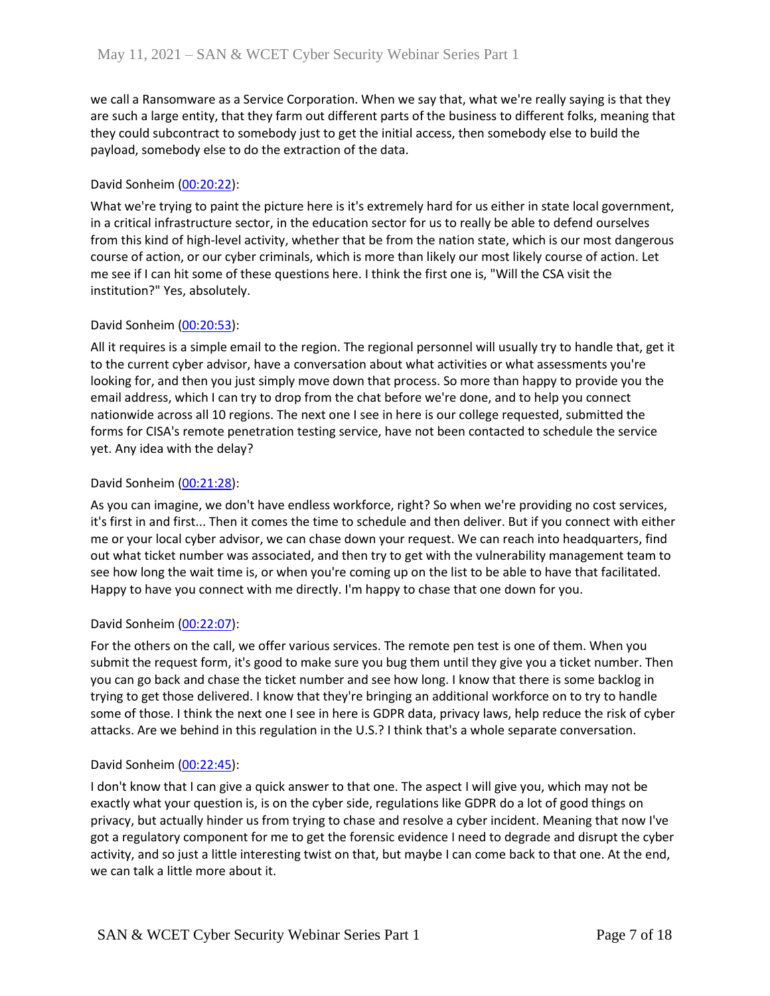we call a Ransomware as a Service Corporation. When we say that, what we're really saying is that they are such a large entity, that they farm out different parts of the business to different folks, meaning that they could subcontract to somebody just to get the initial access, then somebody else to build the payload, somebody else to do the extraction of the data.

## David Sonheim [\(00:20:22\)](https://www.rev.com/transcript-editor/Edit?token=Jzdxf9SJFZwHmNwRuzQ0KexBS2ADSELzML_a6Z6JJ7rUT-aQ9kr354sGbH9_slCsfa6atX604MHM_SP2WCs__QnZpOE&loadFrom=DocumentDeeplink&ts=1222.05):

What we're trying to paint the picture here is it's extremely hard for us either in state local government, in a critical infrastructure sector, in the education sector for us to really be able to defend ourselves from this kind of high-level activity, whether that be from the nation state, which is our most dangerous course of action, or our cyber criminals, which is more than likely our most likely course of action. Let me see if I can hit some of these questions here. I think the first one is, "Will the CSA visit the institution?" Yes, absolutely.

## David Sonheim [\(00:20:53\)](https://www.rev.com/transcript-editor/Edit?token=8psXp5KUyfFqOVFFdh9UAXDGr9LqmQ2jD-r7mltR9RWoSFvS3IFcxmdjlaqgOXzySGPDNhsJ_LL0RT_XpeskRjVXsi0&loadFrom=DocumentDeeplink&ts=1253.13):

All it requires is a simple email to the region. The regional personnel will usually try to handle that, get it to the current cyber advisor, have a conversation about what activities or what assessments you're looking for, and then you just simply move down that process. So more than happy to provide you the email address, which I can try to drop from the chat before we're done, and to help you connect nationwide across all 10 regions. The next one I see in here is our college requested, submitted the forms for CISA's remote penetration testing service, have not been contacted to schedule the service yet. Any idea with the delay?

# David Sonheim [\(00:21:28\)](https://www.rev.com/transcript-editor/Edit?token=I6cZsWFhTWKdxsWK6Z9ANTiWM5G_C2bfM1rQuTVjlLCa2dnP6LiH_kcXT8tF6mRLMdRXN1iKbLaRUn5jYtxjjzDUE6U&loadFrom=DocumentDeeplink&ts=1288.03):

As you can imagine, we don't have endless workforce, right? So when we're providing no cost services, it's first in and first... Then it comes the time to schedule and then deliver. But if you connect with either me or your local cyber advisor, we can chase down your request. We can reach into headquarters, find out what ticket number was associated, and then try to get with the vulnerability management team to see how long the wait time is, or when you're coming up on the list to be able to have that facilitated. Happy to have you connect with me directly. I'm happy to chase that one down for you.

## David Sonheim [\(00:22:07\)](https://www.rev.com/transcript-editor/Edit?token=oueUd6ZV7sEPPfEWl85K3xg_fDs59ypvln1rTHobsRiYY7hw1oS8y0DwMD2SRKJ9gzXwoJOlpZkufzx0XjKPHgmdb8g&loadFrom=DocumentDeeplink&ts=1327.24):

For the others on the call, we offer various services. The remote pen test is one of them. When you submit the request form, it's good to make sure you bug them until they give you a ticket number. Then you can go back and chase the ticket number and see how long. I know that there is some backlog in trying to get those delivered. I know that they're bringing an additional workforce on to try to handle some of those. I think the next one I see in here is GDPR data, privacy laws, help reduce the risk of cyber attacks. Are we behind in this regulation in the U.S.? I think that's a whole separate conversation.

## David Sonheim [\(00:22:45\)](https://www.rev.com/transcript-editor/Edit?token=9LY_86XefHDcTZdiZp84t9eoRGm2AB2fNMbfSkac3-CknomNvg3sGnmh1NbBnOG4NnDBbZ6kJqu2gAtVUmqu_vXTml8&loadFrom=DocumentDeeplink&ts=1365.23):

I don't know that I can give a quick answer to that one. The aspect I will give you, which may not be exactly what your question is, is on the cyber side, regulations like GDPR do a lot of good things on privacy, but actually hinder us from trying to chase and resolve a cyber incident. Meaning that now I've got a regulatory component for me to get the forensic evidence I need to degrade and disrupt the cyber activity, and so just a little interesting twist on that, but maybe I can come back to that one. At the end, we can talk a little more about it.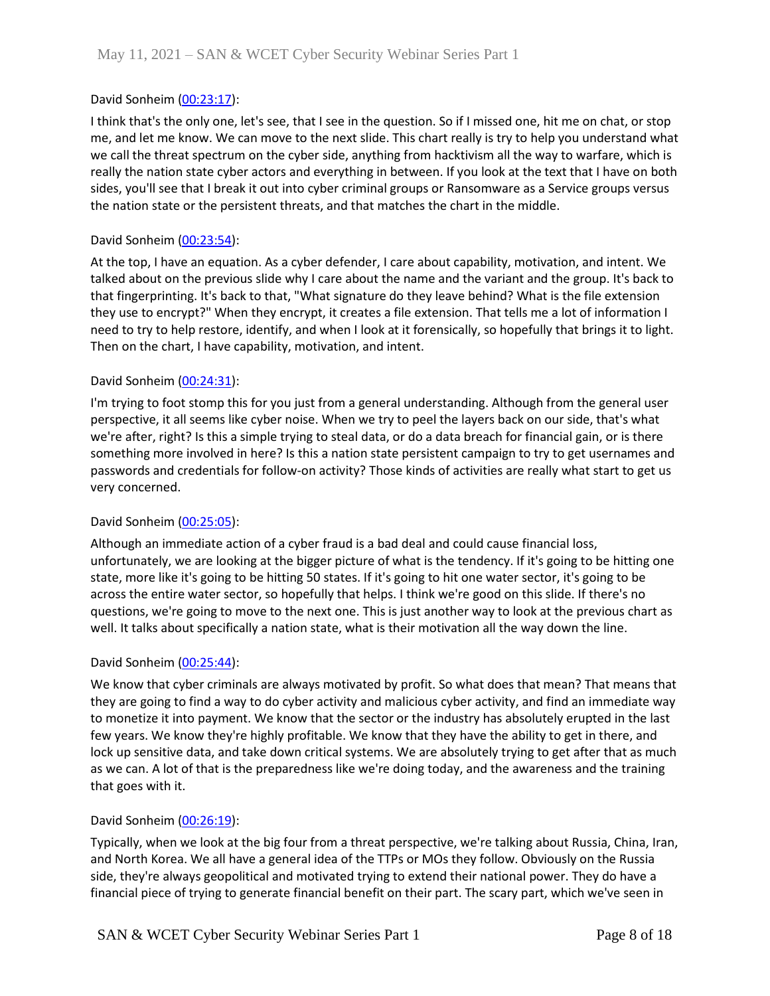## David Sonheim [\(00:23:17\)](https://www.rev.com/transcript-editor/Edit?token=-FO2PHYxAko1xfG-OddzOmsaPt2JiXuqw-Ts9S_k-2Y9gzH-XZ_wQ2xD0jSo3l4iki1l4JeFx3qSI4gse2US22Xijcw&loadFrom=DocumentDeeplink&ts=1397.04):

I think that's the only one, let's see, that I see in the question. So if I missed one, hit me on chat, or stop me, and let me know. We can move to the next slide. This chart really is try to help you understand what we call the threat spectrum on the cyber side, anything from hacktivism all the way to warfare, which is really the nation state cyber actors and everything in between. If you look at the text that I have on both sides, you'll see that I break it out into cyber criminal groups or Ransomware as a Service groups versus the nation state or the persistent threats, and that matches the chart in the middle.

## David Sonheim [\(00:23:54\)](https://www.rev.com/transcript-editor/Edit?token=1QxZJlW64VPvArip-vfvP_pnQuwUgcBvkiNuHR5vMcTL9-v3n_PEaTIDOtpHM8dxgWbn0eXOt9o8QLgXbZ9KH_WWVu0&loadFrom=DocumentDeeplink&ts=1434.97):

At the top, I have an equation. As a cyber defender, I care about capability, motivation, and intent. We talked about on the previous slide why I care about the name and the variant and the group. It's back to that fingerprinting. It's back to that, "What signature do they leave behind? What is the file extension they use to encrypt?" When they encrypt, it creates a file extension. That tells me a lot of information I need to try to help restore, identify, and when I look at it forensically, so hopefully that brings it to light. Then on the chart, I have capability, motivation, and intent.

## David Sonheim [\(00:24:31\)](https://www.rev.com/transcript-editor/Edit?token=rZT6mpm9wfGH_TaxUPuUYILo1q7053Zsg9J5zWcbUn0ul7cOrqb6ZN3fc4j3fEvv4cjEeynHr1GGtyum0bERcduDWdA&loadFrom=DocumentDeeplink&ts=1471.22):

I'm trying to foot stomp this for you just from a general understanding. Although from the general user perspective, it all seems like cyber noise. When we try to peel the layers back on our side, that's what we're after, right? Is this a simple trying to steal data, or do a data breach for financial gain, or is there something more involved in here? Is this a nation state persistent campaign to try to get usernames and passwords and credentials for follow-on activity? Those kinds of activities are really what start to get us very concerned.

## David Sonheim [\(00:25:05\)](https://www.rev.com/transcript-editor/Edit?token=EX4wnIscLqHLmYJI0fa8LuEXwNP_94BvqEk5lmJEY8pCcUANSwtPeFSZZJszeenRaQqNBfWU41tW2aDwZUAuI5AgXHQ&loadFrom=DocumentDeeplink&ts=1505.47):

Although an immediate action of a cyber fraud is a bad deal and could cause financial loss, unfortunately, we are looking at the bigger picture of what is the tendency. If it's going to be hitting one state, more like it's going to be hitting 50 states. If it's going to hit one water sector, it's going to be across the entire water sector, so hopefully that helps. I think we're good on this slide. If there's no questions, we're going to move to the next one. This is just another way to look at the previous chart as well. It talks about specifically a nation state, what is their motivation all the way down the line.

## David Sonheim [\(00:25:44\)](https://www.rev.com/transcript-editor/Edit?token=Q8QKb1jhhFwbev0RVhUFeIkJb39ipUsuZRnEG_CwPvaO75QPo_vENBpLyhJvVS3MaaJsVglIvGY9uHd4gXVuz6I_lno&loadFrom=DocumentDeeplink&ts=1544.1):

We know that cyber criminals are always motivated by profit. So what does that mean? That means that they are going to find a way to do cyber activity and malicious cyber activity, and find an immediate way to monetize it into payment. We know that the sector or the industry has absolutely erupted in the last few years. We know they're highly profitable. We know that they have the ability to get in there, and lock up sensitive data, and take down critical systems. We are absolutely trying to get after that as much as we can. A lot of that is the preparedness like we're doing today, and the awareness and the training that goes with it.

## David Sonheim [\(00:26:19\)](https://www.rev.com/transcript-editor/Edit?token=0s-LSQ5x_z4zhZ56L1c4YzkMojr0k9sxvh7VYb_22J6chrpWintBVH4_VfkJiDg1v2Ms99yumYKqAYhrPmR94DPtojM&loadFrom=DocumentDeeplink&ts=1579.58):

Typically, when we look at the big four from a threat perspective, we're talking about Russia, China, Iran, and North Korea. We all have a general idea of the TTPs or MOs they follow. Obviously on the Russia side, they're always geopolitical and motivated trying to extend their national power. They do have a financial piece of trying to generate financial benefit on their part. The scary part, which we've seen in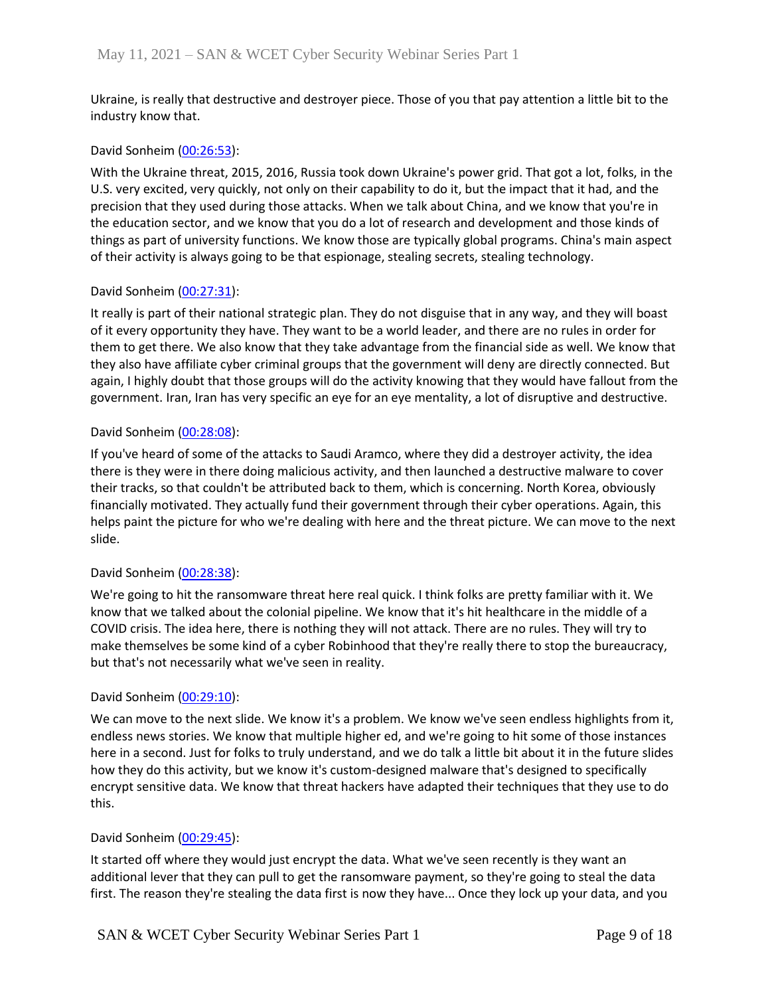Ukraine, is really that destructive and destroyer piece. Those of you that pay attention a little bit to the industry know that.

### David Sonheim [\(00:26:53\)](https://www.rev.com/transcript-editor/Edit?token=VwVpGc5wBjJlKgmBXlpij82SV84_gmudvc9VaU1iuaBfwVRmjEKUoQOiKRgzh75MbfPeEELJshJbpdAjaoMMy-VP2HE&loadFrom=DocumentDeeplink&ts=1613.35):

With the Ukraine threat, 2015, 2016, Russia took down Ukraine's power grid. That got a lot, folks, in the U.S. very excited, very quickly, not only on their capability to do it, but the impact that it had, and the precision that they used during those attacks. When we talk about China, and we know that you're in the education sector, and we know that you do a lot of research and development and those kinds of things as part of university functions. We know those are typically global programs. China's main aspect of their activity is always going to be that espionage, stealing secrets, stealing technology.

## David Sonheim [\(00:27:31\)](https://www.rev.com/transcript-editor/Edit?token=fHR7Ta8Ctt4UwHbV5p9zAeZBUhIv4T6PKWXlTrTZsyJUOGk5SNL-qPlUGNhFpXU-MWasGwj1AncUDPbQHHNAN9mI8iA&loadFrom=DocumentDeeplink&ts=1651.12):

It really is part of their national strategic plan. They do not disguise that in any way, and they will boast of it every opportunity they have. They want to be a world leader, and there are no rules in order for them to get there. We also know that they take advantage from the financial side as well. We know that they also have affiliate cyber criminal groups that the government will deny are directly connected. But again, I highly doubt that those groups will do the activity knowing that they would have fallout from the government. Iran, Iran has very specific an eye for an eye mentality, a lot of disruptive and destructive.

### David Sonheim [\(00:28:08\)](https://www.rev.com/transcript-editor/Edit?token=9A-fbsXUsoGsQrcYMEpNEaPrWh7PwBCB35ToxhZYqK_qdwZV2AILNYIJ4VCss3l1NhBOfiidgfUqJPSG1utbgHknx0Q&loadFrom=DocumentDeeplink&ts=1688.48):

If you've heard of some of the attacks to Saudi Aramco, where they did a destroyer activity, the idea there is they were in there doing malicious activity, and then launched a destructive malware to cover their tracks, so that couldn't be attributed back to them, which is concerning. North Korea, obviously financially motivated. They actually fund their government through their cyber operations. Again, this helps paint the picture for who we're dealing with here and the threat picture. We can move to the next slide.

## David Sonheim [\(00:28:38\)](https://www.rev.com/transcript-editor/Edit?token=YNGR3rkcGWWwGLtibhmYZJrGCRrAoVwC_1sefPmCkJBI1ZyYwKz2wcCwCPhV-7VTkjf-602oq7_0CuZuEYpRZohlHz4&loadFrom=DocumentDeeplink&ts=1718.33):

We're going to hit the ransomware threat here real quick. I think folks are pretty familiar with it. We know that we talked about the colonial pipeline. We know that it's hit healthcare in the middle of a COVID crisis. The idea here, there is nothing they will not attack. There are no rules. They will try to make themselves be some kind of a cyber Robinhood that they're really there to stop the bureaucracy, but that's not necessarily what we've seen in reality.

#### David Sonheim [\(00:29:10\)](https://www.rev.com/transcript-editor/Edit?token=Qhq8fLHPguHFEAXibnAqnHaQtZEpAM5JNjZGN_o6GsvQ6nkni9A6GfTdZQ9TZrv-fyzgQyW5JRAn0EToaGPwGu3S9ss&loadFrom=DocumentDeeplink&ts=1750.28):

We can move to the next slide. We know it's a problem. We know we've seen endless highlights from it, endless news stories. We know that multiple higher ed, and we're going to hit some of those instances here in a second. Just for folks to truly understand, and we do talk a little bit about it in the future slides how they do this activity, but we know it's custom-designed malware that's designed to specifically encrypt sensitive data. We know that threat hackers have adapted their techniques that they use to do this.

## David Sonheim [\(00:29:45\)](https://www.rev.com/transcript-editor/Edit?token=9aBj4BXzadNqI0NHrTHGeHOJvbiM_haTUNaM8-Pge7NiPhy033R_wT_m67wM6AsQR6Rj_yA20HMP98hF6f9sp5ND8ow&loadFrom=DocumentDeeplink&ts=1785.18):

It started off where they would just encrypt the data. What we've seen recently is they want an additional lever that they can pull to get the ransomware payment, so they're going to steal the data first. The reason they're stealing the data first is now they have... Once they lock up your data, and you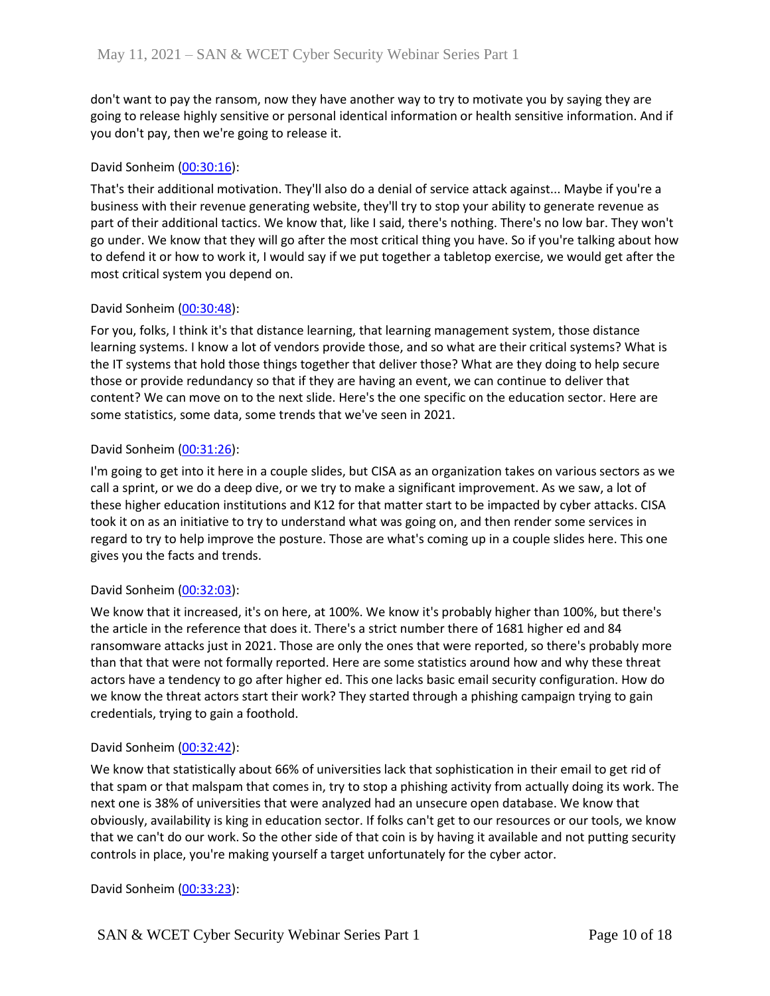don't want to pay the ransom, now they have another way to try to motivate you by saying they are going to release highly sensitive or personal identical information or health sensitive information. And if you don't pay, then we're going to release it.

## David Sonheim [\(00:30:16\)](https://www.rev.com/transcript-editor/Edit?token=ePcj5O5R39rXpLpLfsVZuXI6m93-l3B9rQfavWNzKnzbRpG7GVrWYs1icy0nN8VlHi0itqEx67APNa4pkI2D33wQ3xY&loadFrom=DocumentDeeplink&ts=1816.27):

That's their additional motivation. They'll also do a denial of service attack against... Maybe if you're a business with their revenue generating website, they'll try to stop your ability to generate revenue as part of their additional tactics. We know that, like I said, there's nothing. There's no low bar. They won't go under. We know that they will go after the most critical thing you have. So if you're talking about how to defend it or how to work it, I would say if we put together a tabletop exercise, we would get after the most critical system you depend on.

### David Sonheim [\(00:30:48\)](https://www.rev.com/transcript-editor/Edit?token=mLs3B2CynkW4ocbhhGjtLdaUS5oQADtjhJ73pj2NFULC--ma8B3yq7Fs9mYTXffRYrJUdl3GVqPNP34Tx1MuoxQkL4c&loadFrom=DocumentDeeplink&ts=1848.43):

For you, folks, I think it's that distance learning, that learning management system, those distance learning systems. I know a lot of vendors provide those, and so what are their critical systems? What is the IT systems that hold those things together that deliver those? What are they doing to help secure those or provide redundancy so that if they are having an event, we can continue to deliver that content? We can move on to the next slide. Here's the one specific on the education sector. Here are some statistics, some data, some trends that we've seen in 2021.

### David Sonheim [\(00:31:26\)](https://www.rev.com/transcript-editor/Edit?token=bFxjJIk9MBmLME36j17Z6FdfmfnJjepja1vdRt-kn1kBgrj17CVFSn6qh6OUCQs9zl1eLdIPtsk8LqFonC_I_dCfUuA&loadFrom=DocumentDeeplink&ts=1886.94):

I'm going to get into it here in a couple slides, but CISA as an organization takes on various sectors as we call a sprint, or we do a deep dive, or we try to make a significant improvement. As we saw, a lot of these higher education institutions and K12 for that matter start to be impacted by cyber attacks. CISA took it on as an initiative to try to understand what was going on, and then render some services in regard to try to help improve the posture. Those are what's coming up in a couple slides here. This one gives you the facts and trends.

## David Sonheim [\(00:32:03\)](https://www.rev.com/transcript-editor/Edit?token=layYeV6nfekSbZzl7klrGKJmNR_bmYttrZUQWpQdfzyMsOzmctwRPTzorMHcEIb6chmGsFzpzNxs092xIFAMZjreAB8&loadFrom=DocumentDeeplink&ts=1923.14):

We know that it increased, it's on here, at 100%. We know it's probably higher than 100%, but there's the article in the reference that does it. There's a strict number there of 1681 higher ed and 84 ransomware attacks just in 2021. Those are only the ones that were reported, so there's probably more than that that were not formally reported. Here are some statistics around how and why these threat actors have a tendency to go after higher ed. This one lacks basic email security configuration. How do we know the threat actors start their work? They started through a phishing campaign trying to gain credentials, trying to gain a foothold.

#### David Sonheim [\(00:32:42\)](https://www.rev.com/transcript-editor/Edit?token=hIiBilfU6OqWqhKFzzqZNTAt-x55Xck5amDBQeA-glGJz6X4ZTztC5DjZoXquezEVrfYoz_wQPmBCbH-N76P-IDHlrk&loadFrom=DocumentDeeplink&ts=1962.6):

We know that statistically about 66% of universities lack that sophistication in their email to get rid of that spam or that malspam that comes in, try to stop a phishing activity from actually doing its work. The next one is 38% of universities that were analyzed had an unsecure open database. We know that obviously, availability is king in education sector. If folks can't get to our resources or our tools, we know that we can't do our work. So the other side of that coin is by having it available and not putting security controls in place, you're making yourself a target unfortunately for the cyber actor.

David Sonheim [\(00:33:23\)](https://www.rev.com/transcript-editor/Edit?token=WkqfUcx5159MRat0sqyGRm9HxKzwfY4fqEKw_UcWQR9mEjP1BncoqLPDd2jF-8JX7uzNTRkKRTD4vR71jFvKAyMH2Vg&loadFrom=DocumentDeeplink&ts=2003.51):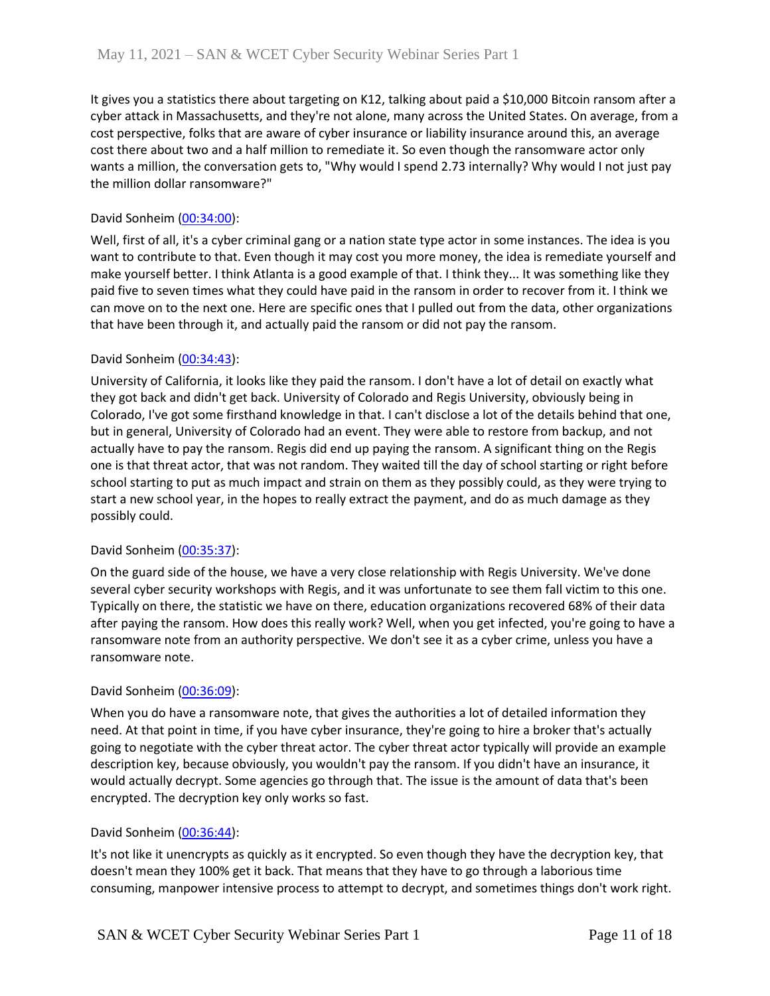It gives you a statistics there about targeting on K12, talking about paid a \$10,000 Bitcoin ransom after a cyber attack in Massachusetts, and they're not alone, many across the United States. On average, from a cost perspective, folks that are aware of cyber insurance or liability insurance around this, an average cost there about two and a half million to remediate it. So even though the ransomware actor only wants a million, the conversation gets to, "Why would I spend 2.73 internally? Why would I not just pay the million dollar ransomware?"

## David Sonheim [\(00:34:00\)](https://www.rev.com/transcript-editor/Edit?token=knqUWyNx9ftdpxT9ltCJkwXDcCEzMFzhNTgMaroz5O06B5aK_rQ_ZDxYCWCDAiRQwD00pXkFDBIzHTGYwuSq1nJUy_c&loadFrom=DocumentDeeplink&ts=2040.44):

Well, first of all, it's a cyber criminal gang or a nation state type actor in some instances. The idea is you want to contribute to that. Even though it may cost you more money, the idea is remediate yourself and make yourself better. I think Atlanta is a good example of that. I think they... It was something like they paid five to seven times what they could have paid in the ransom in order to recover from it. I think we can move on to the next one. Here are specific ones that I pulled out from the data, other organizations that have been through it, and actually paid the ransom or did not pay the ransom.

## David Sonheim [\(00:34:43\)](https://www.rev.com/transcript-editor/Edit?token=xTVY3wFq9IJlM_H_QTOMeH8TFxMgwntN2oNfvBFsPZkmKeGKpb1AOiWvyXpWH4vGeIidehc3dga4NnVgWh7dYNqLj1o&loadFrom=DocumentDeeplink&ts=2083.88):

University of California, it looks like they paid the ransom. I don't have a lot of detail on exactly what they got back and didn't get back. University of Colorado and Regis University, obviously being in Colorado, I've got some firsthand knowledge in that. I can't disclose a lot of the details behind that one, but in general, University of Colorado had an event. They were able to restore from backup, and not actually have to pay the ransom. Regis did end up paying the ransom. A significant thing on the Regis one is that threat actor, that was not random. They waited till the day of school starting or right before school starting to put as much impact and strain on them as they possibly could, as they were trying to start a new school year, in the hopes to really extract the payment, and do as much damage as they possibly could.

## David Sonheim [\(00:35:37\)](https://www.rev.com/transcript-editor/Edit?token=jqeHG-jgHkQl3jxKSxg48TZlhpsppBVPuyo6V90KR9gBlBYz2RJ08J22mKsFcDw86f9fwqDZa0MmtauSARrH1xYgDMs&loadFrom=DocumentDeeplink&ts=2137.52):

On the guard side of the house, we have a very close relationship with Regis University. We've done several cyber security workshops with Regis, and it was unfortunate to see them fall victim to this one. Typically on there, the statistic we have on there, education organizations recovered 68% of their data after paying the ransom. How does this really work? Well, when you get infected, you're going to have a ransomware note from an authority perspective. We don't see it as a cyber crime, unless you have a ransomware note.

## David Sonheim [\(00:36:09\)](https://www.rev.com/transcript-editor/Edit?token=HFVHzr4Qk7QzAvHKr7kZvFUBArQa_KM2QGTczd_nYfjxWc4cUsu5eX1FBA9T6MyIg_SvdHRMLI5Gxny-R0gP37CVvxA&loadFrom=DocumentDeeplink&ts=2169.28):

When you do have a ransomware note, that gives the authorities a lot of detailed information they need. At that point in time, if you have cyber insurance, they're going to hire a broker that's actually going to negotiate with the cyber threat actor. The cyber threat actor typically will provide an example description key, because obviously, you wouldn't pay the ransom. If you didn't have an insurance, it would actually decrypt. Some agencies go through that. The issue is the amount of data that's been encrypted. The decryption key only works so fast.

## David Sonheim [\(00:36:44\)](https://www.rev.com/transcript-editor/Edit?token=u38wG3pVTmT5XkkRvY_8wZqJKcVZLyhWaaAAt0GG5AjFzJj65oY8Pzh9kBgH_Z-cW544Fz5BW-eqn3fyNSCDpnc12zM&loadFrom=DocumentDeeplink&ts=2204.43):

It's not like it unencrypts as quickly as it encrypted. So even though they have the decryption key, that doesn't mean they 100% get it back. That means that they have to go through a laborious time consuming, manpower intensive process to attempt to decrypt, and sometimes things don't work right.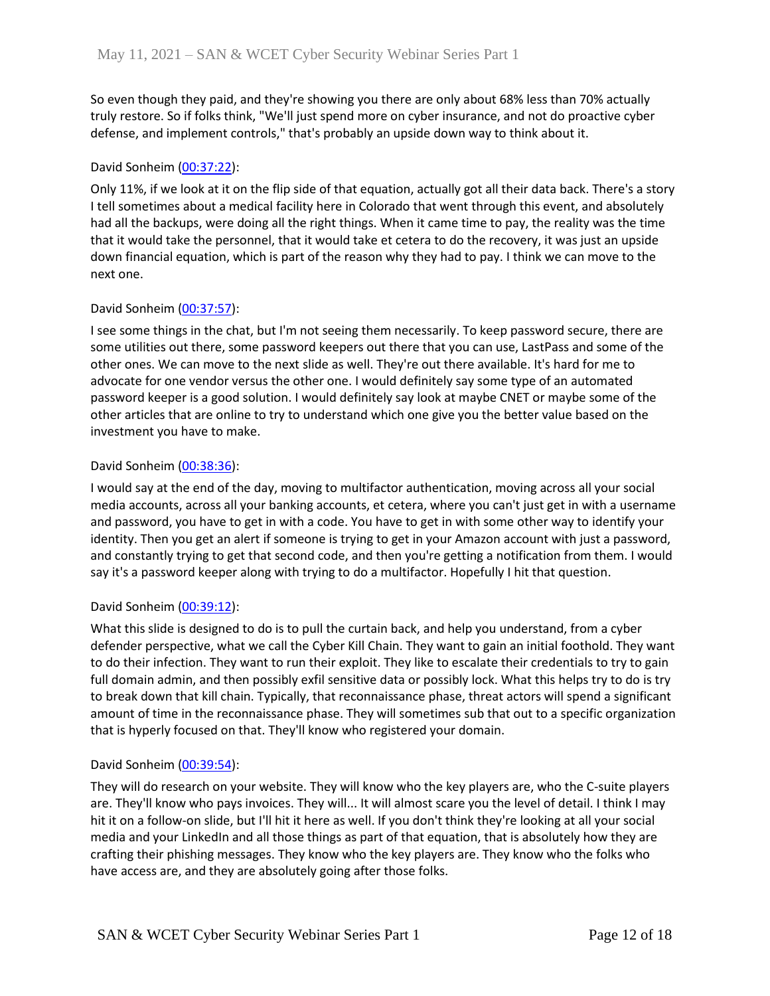So even though they paid, and they're showing you there are only about 68% less than 70% actually truly restore. So if folks think, "We'll just spend more on cyber insurance, and not do proactive cyber defense, and implement controls," that's probably an upside down way to think about it.

## David Sonheim [\(00:37:22\)](https://www.rev.com/transcript-editor/Edit?token=1dGtIPMHJ0_1AM4b10Pq51J1cWfE2y7gAhGi1XpKvAtqHQ5EWo0TiWG1nO8XTWtjxOETOKw2aszYAk3X2jSOkzdfU3Q&loadFrom=DocumentDeeplink&ts=2242.54):

Only 11%, if we look at it on the flip side of that equation, actually got all their data back. There's a story I tell sometimes about a medical facility here in Colorado that went through this event, and absolutely had all the backups, were doing all the right things. When it came time to pay, the reality was the time that it would take the personnel, that it would take et cetera to do the recovery, it was just an upside down financial equation, which is part of the reason why they had to pay. I think we can move to the next one.

## David Sonheim [\(00:37:57\)](https://www.rev.com/transcript-editor/Edit?token=LOouKnaKfvcRtxo0fbmM6KMBx400D6lo3YdUiX6oILLnqU_Ge6esa20HNWCIQoKn0-iPqo0AP4zVK-TG180GaBbyyXM&loadFrom=DocumentDeeplink&ts=2277.13):

I see some things in the chat, but I'm not seeing them necessarily. To keep password secure, there are some utilities out there, some password keepers out there that you can use, LastPass and some of the other ones. We can move to the next slide as well. They're out there available. It's hard for me to advocate for one vendor versus the other one. I would definitely say some type of an automated password keeper is a good solution. I would definitely say look at maybe CNET or maybe some of the other articles that are online to try to understand which one give you the better value based on the investment you have to make.

# David Sonheim [\(00:38:36\)](https://www.rev.com/transcript-editor/Edit?token=efCteMgNqaGq_vJFYrDZX-aVbfxS2oCsgwR9Rzycyom_f20Q1dKEl4jxVil3YNtuhIK_qZDPaE0p7zesQLdvTHAiWNY&loadFrom=DocumentDeeplink&ts=2316.25):

I would say at the end of the day, moving to multifactor authentication, moving across all your social media accounts, across all your banking accounts, et cetera, where you can't just get in with a username and password, you have to get in with a code. You have to get in with some other way to identify your identity. Then you get an alert if someone is trying to get in your Amazon account with just a password, and constantly trying to get that second code, and then you're getting a notification from them. I would say it's a password keeper along with trying to do a multifactor. Hopefully I hit that question.

## David Sonheim [\(00:39:12\)](https://www.rev.com/transcript-editor/Edit?token=pw8lZ_BpEOX-Fvqm9TjbvlmhMtz9Y1mDob_BGK8gwBv0nzzCRJQl3h13P6FyptJ-20Daj1ce3P-r3_l87_o5FKECrxA&loadFrom=DocumentDeeplink&ts=2352.03):

What this slide is designed to do is to pull the curtain back, and help you understand, from a cyber defender perspective, what we call the Cyber Kill Chain. They want to gain an initial foothold. They want to do their infection. They want to run their exploit. They like to escalate their credentials to try to gain full domain admin, and then possibly exfil sensitive data or possibly lock. What this helps try to do is try to break down that kill chain. Typically, that reconnaissance phase, threat actors will spend a significant amount of time in the reconnaissance phase. They will sometimes sub that out to a specific organization that is hyperly focused on that. They'll know who registered your domain.

## David Sonheim [\(00:39:54\)](https://www.rev.com/transcript-editor/Edit?token=5dt00xDd-7eMxB118HCpTkDGJ25JLWcB83cwZHWGSrXaLtMIRBu3xOeS0s_laK0wA70s8NIKbT7SRYj1EZpRVhQ6lfY&loadFrom=DocumentDeeplink&ts=2394.64):

They will do research on your website. They will know who the key players are, who the C-suite players are. They'll know who pays invoices. They will... It will almost scare you the level of detail. I think I may hit it on a follow-on slide, but I'll hit it here as well. If you don't think they're looking at all your social media and your LinkedIn and all those things as part of that equation, that is absolutely how they are crafting their phishing messages. They know who the key players are. They know who the folks who have access are, and they are absolutely going after those folks.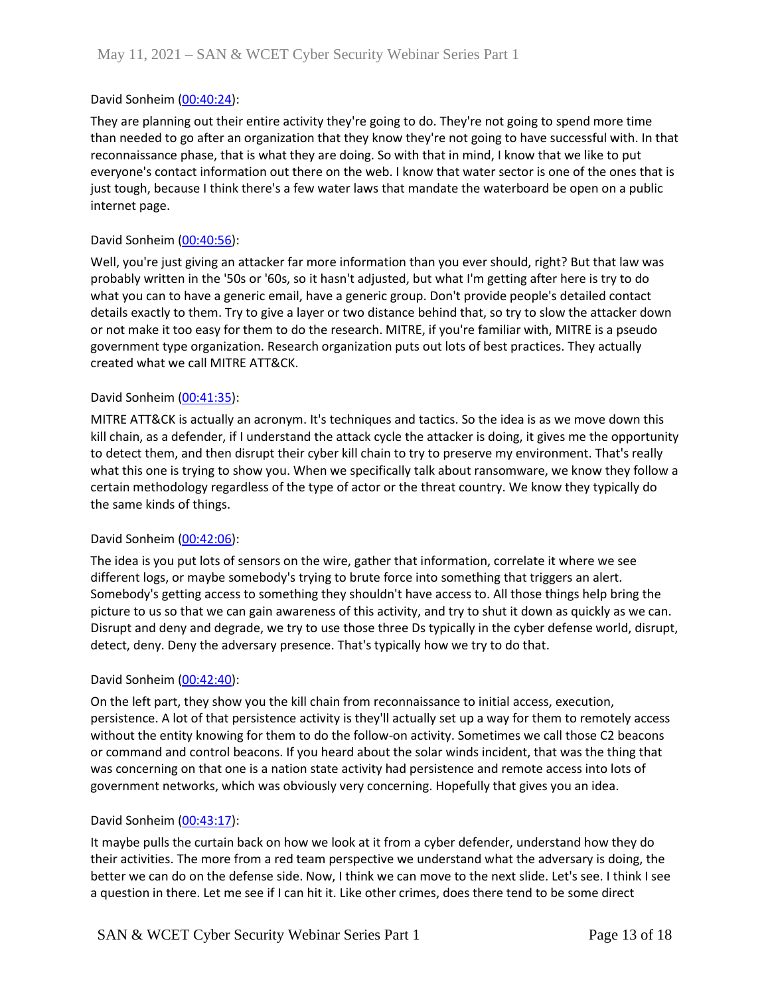## David Sonheim [\(00:40:24\)](https://www.rev.com/transcript-editor/Edit?token=JRFEV9Amf9uza-O1BBow0hdrNWDxZ1xq9mBrhcpLwuB-8ilSLlBJX0GvIlPYuFtKy7A8Bl8UTqbdhysWpEQujSuWY4M&loadFrom=DocumentDeeplink&ts=2424.64):

They are planning out their entire activity they're going to do. They're not going to spend more time than needed to go after an organization that they know they're not going to have successful with. In that reconnaissance phase, that is what they are doing. So with that in mind, I know that we like to put everyone's contact information out there on the web. I know that water sector is one of the ones that is just tough, because I think there's a few water laws that mandate the waterboard be open on a public internet page.

## David Sonheim [\(00:40:56\)](https://www.rev.com/transcript-editor/Edit?token=M-OFFFV6Ckzy4scPHYofRaODmq5u0l5z2TPJMr3nz1_sQ6VBbySO8_CBoayUy1cWz_xj0oHY-2rqAOJ3KrYBFqGnAqg&loadFrom=DocumentDeeplink&ts=2456.75):

Well, you're just giving an attacker far more information than you ever should, right? But that law was probably written in the '50s or '60s, so it hasn't adjusted, but what I'm getting after here is try to do what you can to have a generic email, have a generic group. Don't provide people's detailed contact details exactly to them. Try to give a layer or two distance behind that, so try to slow the attacker down or not make it too easy for them to do the research. MITRE, if you're familiar with, MITRE is a pseudo government type organization. Research organization puts out lots of best practices. They actually created what we call MITRE ATT&CK.

## David Sonheim [\(00:41:35\)](https://www.rev.com/transcript-editor/Edit?token=S6gK4OXy0hwWxRO_hmrbupM_77APDIpKAx-kCuwO8n9diGmVC2zGYfI-R6QNhBjhJ-MXXbNAkaQu2Agm_8vVe6SMkjs&loadFrom=DocumentDeeplink&ts=2495.6):

MITRE ATT&CK is actually an acronym. It's techniques and tactics. So the idea is as we move down this kill chain, as a defender, if I understand the attack cycle the attacker is doing, it gives me the opportunity to detect them, and then disrupt their cyber kill chain to try to preserve my environment. That's really what this one is trying to show you. When we specifically talk about ransomware, we know they follow a certain methodology regardless of the type of actor or the threat country. We know they typically do the same kinds of things.

## David Sonheim [\(00:42:06\)](https://www.rev.com/transcript-editor/Edit?token=C5jspMxRqibUMDTzKERSYR6CFJwnotfv8RQP18-9M3dQuybZmuw-Dc0yNqXt4fDItv64WiBs6KnmZ3VcI_jK8fLEXXA&loadFrom=DocumentDeeplink&ts=2526.77):

The idea is you put lots of sensors on the wire, gather that information, correlate it where we see different logs, or maybe somebody's trying to brute force into something that triggers an alert. Somebody's getting access to something they shouldn't have access to. All those things help bring the picture to us so that we can gain awareness of this activity, and try to shut it down as quickly as we can. Disrupt and deny and degrade, we try to use those three Ds typically in the cyber defense world, disrupt, detect, deny. Deny the adversary presence. That's typically how we try to do that.

## David Sonheim [\(00:42:40\)](https://www.rev.com/transcript-editor/Edit?token=IAub_che7QH4Qj6cYUfsj8BM3eV4tGIhOTC2iNp0kwekmuXE_aDtzDnfq_XJyGIOCypb36hiwPbkkXgFAByb1uudK2I&loadFrom=DocumentDeeplink&ts=2560.57):

On the left part, they show you the kill chain from reconnaissance to initial access, execution, persistence. A lot of that persistence activity is they'll actually set up a way for them to remotely access without the entity knowing for them to do the follow-on activity. Sometimes we call those C2 beacons or command and control beacons. If you heard about the solar winds incident, that was the thing that was concerning on that one is a nation state activity had persistence and remote access into lots of government networks, which was obviously very concerning. Hopefully that gives you an idea.

## David Sonheim [\(00:43:17\)](https://www.rev.com/transcript-editor/Edit?token=EsT-7Ohh9vFAKZjhA0gUx2iRt7Uha1NiSR7dy53UQJeDEfpN-bhQC2A0AeqBZf53px-Skm6QnFK_5lEwOP2r_ksIDJ0&loadFrom=DocumentDeeplink&ts=2597.95):

It maybe pulls the curtain back on how we look at it from a cyber defender, understand how they do their activities. The more from a red team perspective we understand what the adversary is doing, the better we can do on the defense side. Now, I think we can move to the next slide. Let's see. I think I see a question in there. Let me see if I can hit it. Like other crimes, does there tend to be some direct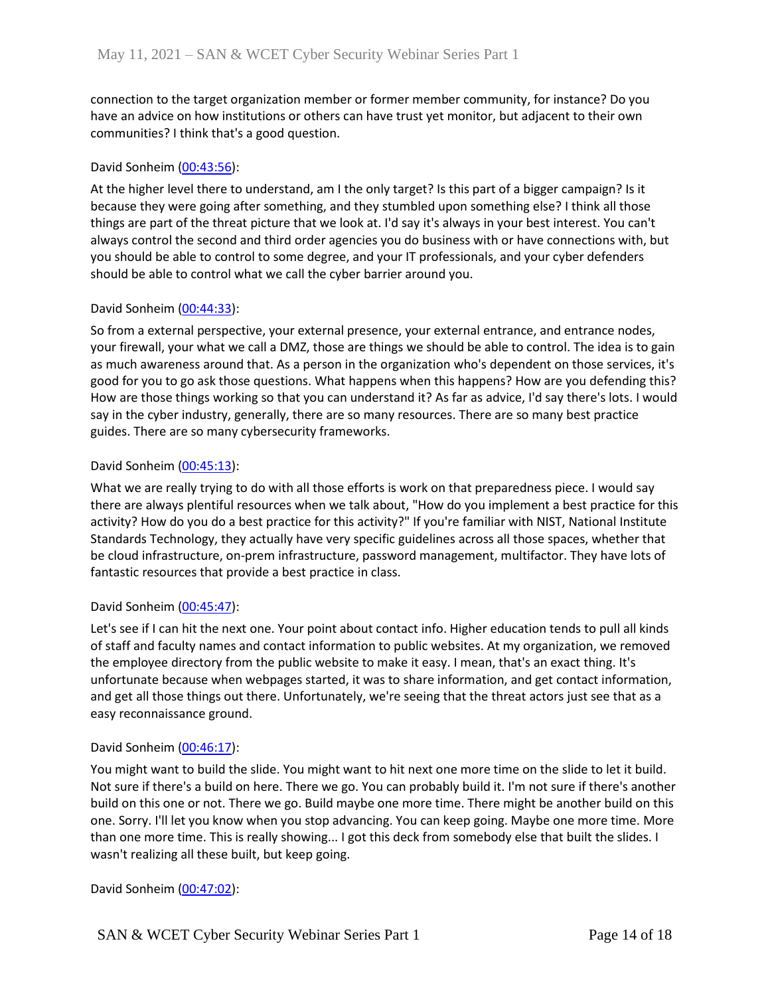connection to the target organization member or former member community, for instance? Do you have an advice on how institutions or others can have trust yet monitor, but adjacent to their own communities? I think that's a good question.

## David Sonheim [\(00:43:56\)](https://www.rev.com/transcript-editor/Edit?token=YFzsKedq7BslI9hGyadRI8EXRGxfQLc-LJ0ArcL7BZ8Ayx-mLoJQQZhW2Oz_dvH6moA5G0OH_pQn7Medyok1KiG1UME&loadFrom=DocumentDeeplink&ts=2636.69):

At the higher level there to understand, am I the only target? Is this part of a bigger campaign? Is it because they were going after something, and they stumbled upon something else? I think all those things are part of the threat picture that we look at. I'd say it's always in your best interest. You can't always control the second and third order agencies you do business with or have connections with, but you should be able to control to some degree, and your IT professionals, and your cyber defenders should be able to control what we call the cyber barrier around you.

## David Sonheim [\(00:44:33\)](https://www.rev.com/transcript-editor/Edit?token=q9xXK1K49sLqIuVr9pt5Af8to4f95XXeA3ohozYXUQM5eS-pYypvZCG2V7tDGahoRtb69Vn1lvUof0A_-VyAI0W8S38&loadFrom=DocumentDeeplink&ts=2673.92):

So from a external perspective, your external presence, your external entrance, and entrance nodes, your firewall, your what we call a DMZ, those are things we should be able to control. The idea is to gain as much awareness around that. As a person in the organization who's dependent on those services, it's good for you to go ask those questions. What happens when this happens? How are you defending this? How are those things working so that you can understand it? As far as advice, I'd say there's lots. I would say in the cyber industry, generally, there are so many resources. There are so many best practice guides. There are so many cybersecurity frameworks.

## David Sonheim [\(00:45:13\)](https://www.rev.com/transcript-editor/Edit?token=xKfvhEsYmxCd_87hkD4-xuPrN4QHeSJRwzqyOKFdZfEXo8p7Iq6ZE4iNOMtgZBJ2O331rB39MqFeBH6z9CSkglMZFHE&loadFrom=DocumentDeeplink&ts=2713.96):

What we are really trying to do with all those efforts is work on that preparedness piece. I would say there are always plentiful resources when we talk about, "How do you implement a best practice for this activity? How do you do a best practice for this activity?" If you're familiar with NIST, National Institute Standards Technology, they actually have very specific guidelines across all those spaces, whether that be cloud infrastructure, on-prem infrastructure, password management, multifactor. They have lots of fantastic resources that provide a best practice in class.

## David Sonheim [\(00:45:47\)](https://www.rev.com/transcript-editor/Edit?token=2as50jnerYpCh76Gqu307XJA8YlJU_1tk1FrilDOMWG37P7XwKkULjoXOHX7UxT60F1F2reiOxO-lKp5fFPjaCUpNSM&loadFrom=DocumentDeeplink&ts=2747.76):

Let's see if I can hit the next one. Your point about contact info. Higher education tends to pull all kinds of staff and faculty names and contact information to public websites. At my organization, we removed the employee directory from the public website to make it easy. I mean, that's an exact thing. It's unfortunate because when webpages started, it was to share information, and get contact information, and get all those things out there. Unfortunately, we're seeing that the threat actors just see that as a easy reconnaissance ground.

## David Sonheim [\(00:46:17\)](https://www.rev.com/transcript-editor/Edit?token=1PnKYNoJODE_aIQ_t4MJ9ud-Oi0CJlgAcltn9EAUo_hRWWDE8R4kc652znwUNVM24VAoeLtCks0nm9XMTlTL2jnHrr4&loadFrom=DocumentDeeplink&ts=2777.91):

You might want to build the slide. You might want to hit next one more time on the slide to let it build. Not sure if there's a build on here. There we go. You can probably build it. I'm not sure if there's another build on this one or not. There we go. Build maybe one more time. There might be another build on this one. Sorry. I'll let you know when you stop advancing. You can keep going. Maybe one more time. More than one more time. This is really showing... I got this deck from somebody else that built the slides. I wasn't realizing all these built, but keep going.

David Sonheim [\(00:47:02\)](https://www.rev.com/transcript-editor/Edit?token=Wap3ixDEEtkui7xreIni6nju1uwr4Sr1WZVNSFTw9pZxMRqCbJwAtw6scuxCvLUDTM8Uh0SjHXtNpEtIUUjHlz-blRA&loadFrom=DocumentDeeplink&ts=2822.16):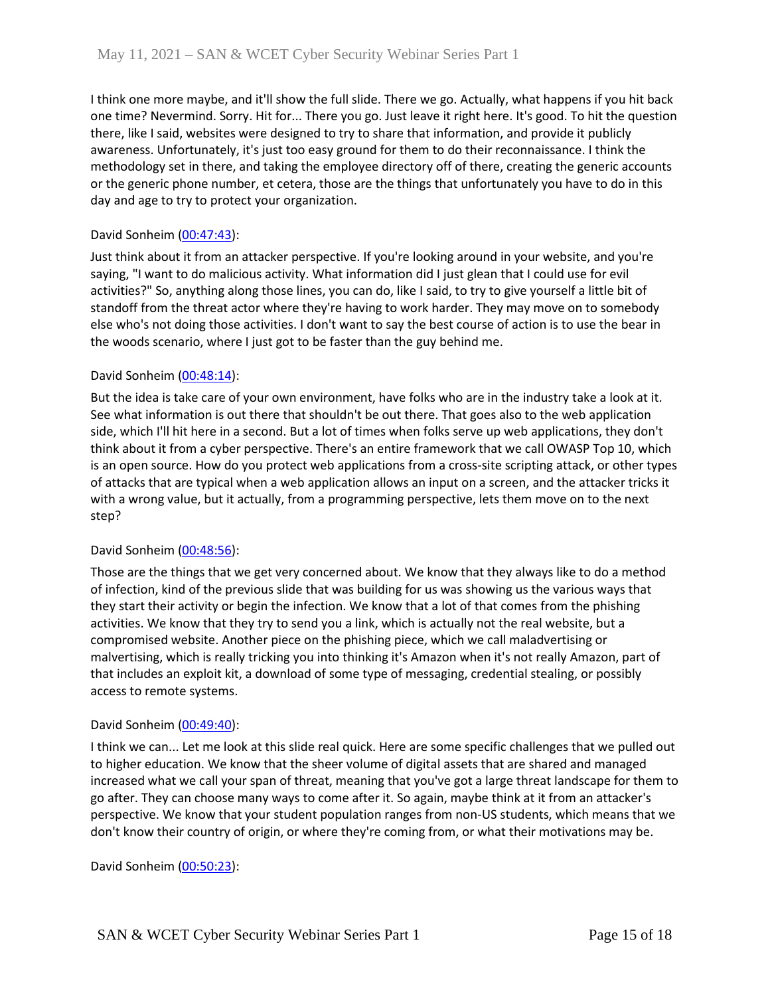I think one more maybe, and it'll show the full slide. There we go. Actually, what happens if you hit back one time? Nevermind. Sorry. Hit for... There you go. Just leave it right here. It's good. To hit the question there, like I said, websites were designed to try to share that information, and provide it publicly awareness. Unfortunately, it's just too easy ground for them to do their reconnaissance. I think the methodology set in there, and taking the employee directory off of there, creating the generic accounts or the generic phone number, et cetera, those are the things that unfortunately you have to do in this day and age to try to protect your organization.

## David Sonheim [\(00:47:43\)](https://www.rev.com/transcript-editor/Edit?token=_Pkoyk3vMJDJzRTGr5O1U1f_F6prwM8TUpxpTzOV6uSpjbVvUnCfVVzKO4AOdMp3OnsQzlU2LVJPyKhEr_VHKLM3uiw&loadFrom=DocumentDeeplink&ts=2863.16):

Just think about it from an attacker perspective. If you're looking around in your website, and you're saying, "I want to do malicious activity. What information did I just glean that I could use for evil activities?" So, anything along those lines, you can do, like I said, to try to give yourself a little bit of standoff from the threat actor where they're having to work harder. They may move on to somebody else who's not doing those activities. I don't want to say the best course of action is to use the bear in the woods scenario, where I just got to be faster than the guy behind me.

## David Sonheim [\(00:48:14\)](https://www.rev.com/transcript-editor/Edit?token=UGZS_y_-kD-v8COOWwfMytWAZWb4Sq-2SWUqurCtRs_6V2dgrSofesEZjD3jZNmF63Q9Vfuemlpw4TvFvE4OdS4vj3c&loadFrom=DocumentDeeplink&ts=2894.21):

But the idea is take care of your own environment, have folks who are in the industry take a look at it. See what information is out there that shouldn't be out there. That goes also to the web application side, which I'll hit here in a second. But a lot of times when folks serve up web applications, they don't think about it from a cyber perspective. There's an entire framework that we call OWASP Top 10, which is an open source. How do you protect web applications from a cross-site scripting attack, or other types of attacks that are typical when a web application allows an input on a screen, and the attacker tricks it with a wrong value, but it actually, from a programming perspective, lets them move on to the next step?

## David Sonheim [\(00:48:56\)](https://www.rev.com/transcript-editor/Edit?token=zjfR6CaGnT0CGolKsGs53dHEHB0NGJ9_3QcVpM6TKSujKNITR8mi9wa3q-xEHsxDPlqggx6Ausdj2x2XfPfeC97RIAA&loadFrom=DocumentDeeplink&ts=2936.99):

Those are the things that we get very concerned about. We know that they always like to do a method of infection, kind of the previous slide that was building for us was showing us the various ways that they start their activity or begin the infection. We know that a lot of that comes from the phishing activities. We know that they try to send you a link, which is actually not the real website, but a compromised website. Another piece on the phishing piece, which we call maladvertising or malvertising, which is really tricking you into thinking it's Amazon when it's not really Amazon, part of that includes an exploit kit, a download of some type of messaging, credential stealing, or possibly access to remote systems.

## David Sonheim [\(00:49:40\)](https://www.rev.com/transcript-editor/Edit?token=61nXkTHjq1slU-KjPNkdURPjZv0TV7L-dkGrphaXffbIIz0uspQuE9JjIBDSLgBCtBzX6U01sAUqGIS06lFzruTqTwA&loadFrom=DocumentDeeplink&ts=2980.72):

I think we can... Let me look at this slide real quick. Here are some specific challenges that we pulled out to higher education. We know that the sheer volume of digital assets that are shared and managed increased what we call your span of threat, meaning that you've got a large threat landscape for them to go after. They can choose many ways to come after it. So again, maybe think at it from an attacker's perspective. We know that your student population ranges from non-US students, which means that we don't know their country of origin, or where they're coming from, or what their motivations may be.

David Sonheim [\(00:50:23\)](https://www.rev.com/transcript-editor/Edit?token=neVHkpR3w6FiELtYX-vC-QM1iA6zBjmdIIbjHdbCWYbjpnNNJ9wYTyAsNgP3aQZ5OlI2HOH4rTTCF9ohGCfqswXkhOw&loadFrom=DocumentDeeplink&ts=3023.43):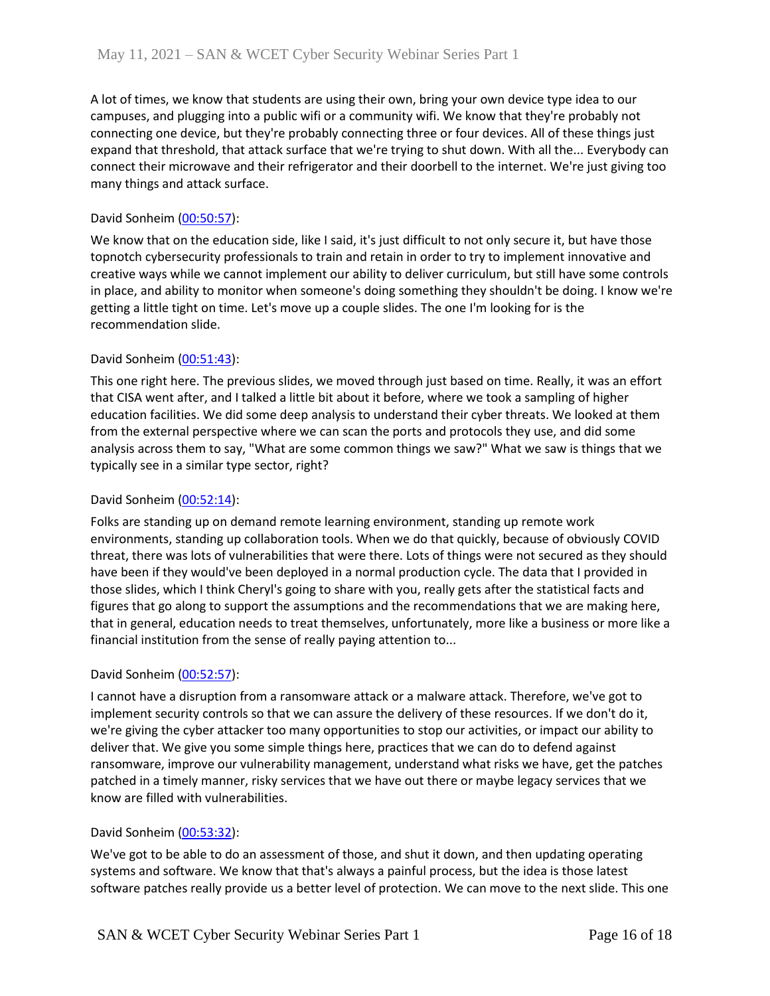A lot of times, we know that students are using their own, bring your own device type idea to our campuses, and plugging into a public wifi or a community wifi. We know that they're probably not connecting one device, but they're probably connecting three or four devices. All of these things just expand that threshold, that attack surface that we're trying to shut down. With all the... Everybody can connect their microwave and their refrigerator and their doorbell to the internet. We're just giving too many things and attack surface.

## David Sonheim [\(00:50:57\)](https://www.rev.com/transcript-editor/Edit?token=2m58wW1thfQBQnnQYJuFjnD29go7o-Vkm_-DCzOZUYp28zn36R_a_Rq1jLzEZ42yTm8IB0Q_juSLVFk8Lhx4JwwYT8w&loadFrom=DocumentDeeplink&ts=3057.32):

We know that on the education side, like I said, it's just difficult to not only secure it, but have those topnotch cybersecurity professionals to train and retain in order to try to implement innovative and creative ways while we cannot implement our ability to deliver curriculum, but still have some controls in place, and ability to monitor when someone's doing something they shouldn't be doing. I know we're getting a little tight on time. Let's move up a couple slides. The one I'm looking for is the recommendation slide.

## David Sonheim [\(00:51:43\)](https://www.rev.com/transcript-editor/Edit?token=hmNJA6V6nlq8JXmgMBYMVoAC7l2TvcdgvVqAW_1fGkqDMz2dD13TIGVaFabT0ddMTdzFSnb4cx4jpBidebJFRT1kfUE&loadFrom=DocumentDeeplink&ts=3103.79):

This one right here. The previous slides, we moved through just based on time. Really, it was an effort that CISA went after, and I talked a little bit about it before, where we took a sampling of higher education facilities. We did some deep analysis to understand their cyber threats. We looked at them from the external perspective where we can scan the ports and protocols they use, and did some analysis across them to say, "What are some common things we saw?" What we saw is things that we typically see in a similar type sector, right?

## David Sonheim [\(00:52:14\)](https://www.rev.com/transcript-editor/Edit?token=ynyzDlTeSn1efSZmXkXThRp0LwT1w_DITtXTeX6IFO-HNLeh9M0y9YJjRCWftDwk3xf6GpyHl2463CxS7bCAAUyV_ro&loadFrom=DocumentDeeplink&ts=3134.09):

Folks are standing up on demand remote learning environment, standing up remote work environments, standing up collaboration tools. When we do that quickly, because of obviously COVID threat, there was lots of vulnerabilities that were there. Lots of things were not secured as they should have been if they would've been deployed in a normal production cycle. The data that I provided in those slides, which I think Cheryl's going to share with you, really gets after the statistical facts and figures that go along to support the assumptions and the recommendations that we are making here, that in general, education needs to treat themselves, unfortunately, more like a business or more like a financial institution from the sense of really paying attention to...

## David Sonheim [\(00:52:57\)](https://www.rev.com/transcript-editor/Edit?token=X8y1_CfupoZt97ks10R6WX0xIxk4AyES2iyIXQiywiaFreR1_fqNNMGqLtGihCpQMnRKDTAtcN6RN45frERm0lt6aqw&loadFrom=DocumentDeeplink&ts=3177.87):

I cannot have a disruption from a ransomware attack or a malware attack. Therefore, we've got to implement security controls so that we can assure the delivery of these resources. If we don't do it, we're giving the cyber attacker too many opportunities to stop our activities, or impact our ability to deliver that. We give you some simple things here, practices that we can do to defend against ransomware, improve our vulnerability management, understand what risks we have, get the patches patched in a timely manner, risky services that we have out there or maybe legacy services that we know are filled with vulnerabilities.

## David Sonheim [\(00:53:32\)](https://www.rev.com/transcript-editor/Edit?token=JyvbHRu8GOyws3Jp3CeflJEyPRapewtX3QLgxP_US-n5-Erap-Rx8v0hruwYpUHGNo_LQ1KAWfKXwVhc_miuzCiRM7U&loadFrom=DocumentDeeplink&ts=3212.86):

We've got to be able to do an assessment of those, and shut it down, and then updating operating systems and software. We know that that's always a painful process, but the idea is those latest software patches really provide us a better level of protection. We can move to the next slide. This one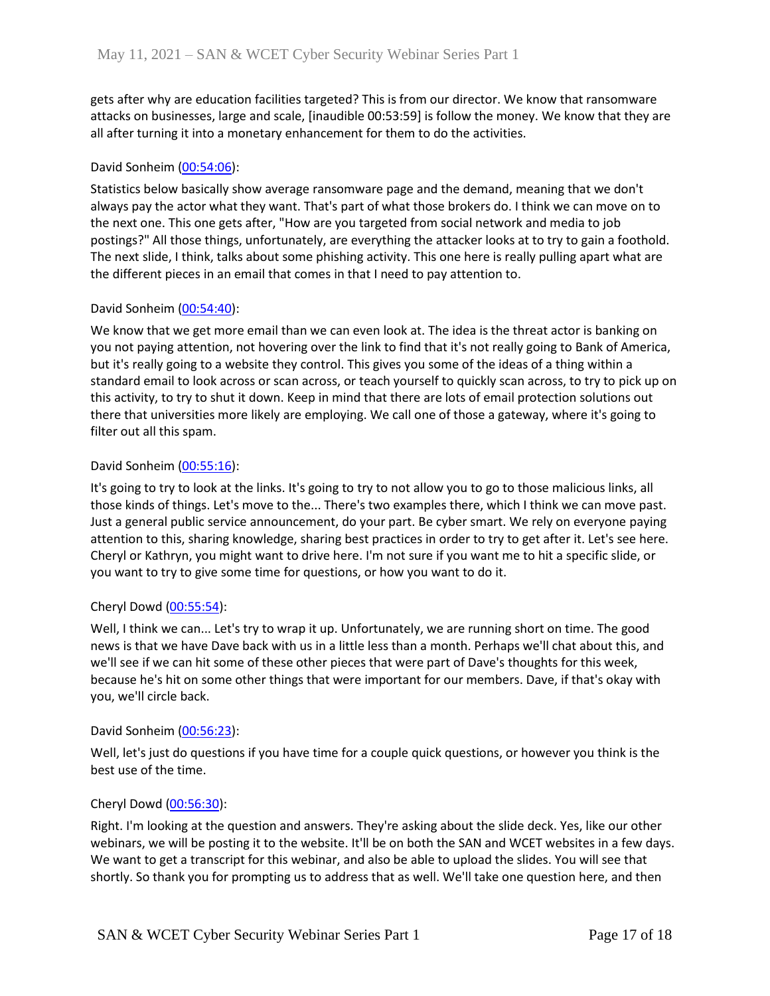gets after why are education facilities targeted? This is from our director. We know that ransomware attacks on businesses, large and scale, [inaudible 00:53:59] is follow the money. We know that they are all after turning it into a monetary enhancement for them to do the activities.

## David Sonheim [\(00:54:06\)](https://www.rev.com/transcript-editor/Edit?token=x0TxYAAdgdA8uZhLjIpJdx63QApLrLVLwaMcG1GlszaP72cQnVv6Wy0pI0DS8l3jc1NozIn8GBbiAFU9zwkHlWFco3Y&loadFrom=DocumentDeeplink&ts=3246.51):

Statistics below basically show average ransomware page and the demand, meaning that we don't always pay the actor what they want. That's part of what those brokers do. I think we can move on to the next one. This one gets after, "How are you targeted from social network and media to job postings?" All those things, unfortunately, are everything the attacker looks at to try to gain a foothold. The next slide, I think, talks about some phishing activity. This one here is really pulling apart what are the different pieces in an email that comes in that I need to pay attention to.

## David Sonheim [\(00:54:40\)](https://www.rev.com/transcript-editor/Edit?token=MLaWhF2nSgz-zbR4NUjpA8u1H9qvF6SOIflmskEo2eFMfAKk4NcDz9XXAFGGuZQCQOEF3xdEFAw3_ZtSdSiaNx4ZdMU&loadFrom=DocumentDeeplink&ts=3280.24):

We know that we get more email than we can even look at. The idea is the threat actor is banking on you not paying attention, not hovering over the link to find that it's not really going to Bank of America, but it's really going to a website they control. This gives you some of the ideas of a thing within a standard email to look across or scan across, or teach yourself to quickly scan across, to try to pick up on this activity, to try to shut it down. Keep in mind that there are lots of email protection solutions out there that universities more likely are employing. We call one of those a gateway, where it's going to filter out all this spam.

# David Sonheim [\(00:55:16\)](https://www.rev.com/transcript-editor/Edit?token=6Gx6V8BKo9B43tayW748aypjvVTRqLZmNhSNJmA8PTc6j-CE4heHBeVlsjr0gH0NXuzyOrbZqr5wvJRv_Q8sMZPw_0c&loadFrom=DocumentDeeplink&ts=3316.87):

It's going to try to look at the links. It's going to try to not allow you to go to those malicious links, all those kinds of things. Let's move to the... There's two examples there, which I think we can move past. Just a general public service announcement, do your part. Be cyber smart. We rely on everyone paying attention to this, sharing knowledge, sharing best practices in order to try to get after it. Let's see here. Cheryl or Kathryn, you might want to drive here. I'm not sure if you want me to hit a specific slide, or you want to try to give some time for questions, or how you want to do it.

## Cheryl Dowd [\(00:55:54\)](https://www.rev.com/transcript-editor/Edit?token=Wh2uLZxWZYtBVt5RxceD5EEl76-t81CVsvXa4RbbDmWDlvavVrn5ph40H_gJUEUI7StpxwrxghgBJJ1KuMNI1UnADdU&loadFrom=DocumentDeeplink&ts=3354.78):

Well, I think we can... Let's try to wrap it up. Unfortunately, we are running short on time. The good news is that we have Dave back with us in a little less than a month. Perhaps we'll chat about this, and we'll see if we can hit some of these other pieces that were part of Dave's thoughts for this week, because he's hit on some other things that were important for our members. Dave, if that's okay with you, we'll circle back.

## David Sonheim [\(00:56:23\)](https://www.rev.com/transcript-editor/Edit?token=gkwdpz4yf9L7DD4Fk3DCyl6keGdhaGsYhSQcpYaqkgg_G4tS_JdpOoU9neuZWXBqCRzE2RKDKPErsdvAitYMgwye4Kc&loadFrom=DocumentDeeplink&ts=3383.62):

Well, let's just do questions if you have time for a couple quick questions, or however you think is the best use of the time.

## Cheryl Dowd [\(00:56:30\)](https://www.rev.com/transcript-editor/Edit?token=3_zkQgZtiBhkBBkIr0kS6i5tl9mQAhpWHBKCw0mWo59kv6yCrUevegkFCFUfN7MFY_dAG6EBDFQj9RxOCRiv60QtT0w&loadFrom=DocumentDeeplink&ts=3390.05):

Right. I'm looking at the question and answers. They're asking about the slide deck. Yes, like our other webinars, we will be posting it to the website. It'll be on both the SAN and WCET websites in a few days. We want to get a transcript for this webinar, and also be able to upload the slides. You will see that shortly. So thank you for prompting us to address that as well. We'll take one question here, and then